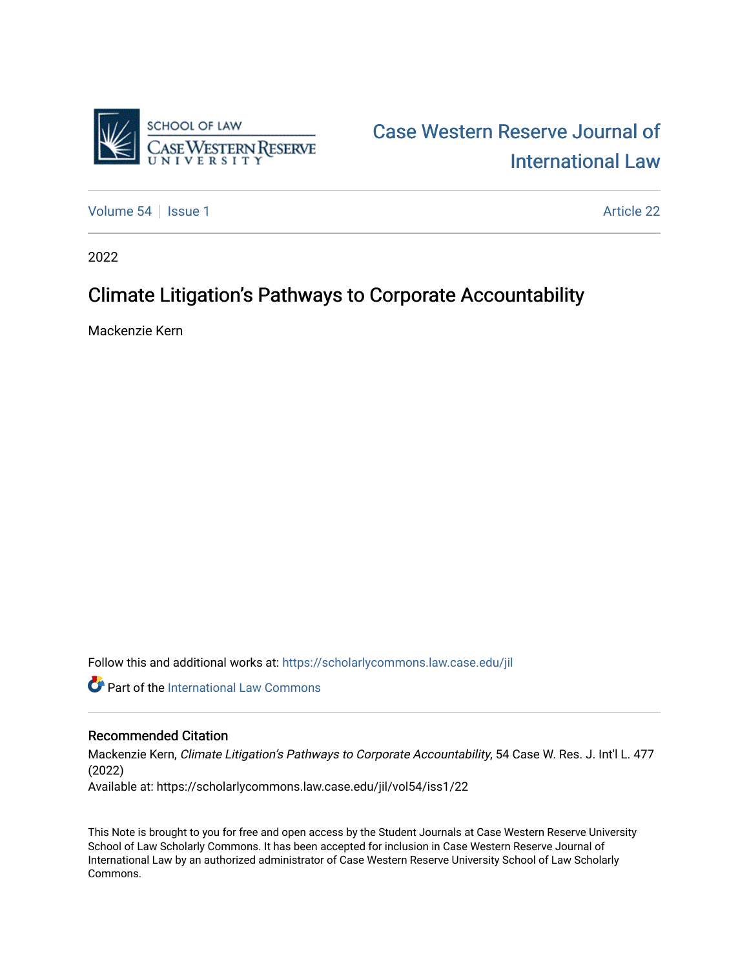

# [Case Western Reserve Journal of](https://scholarlycommons.law.case.edu/jil)  [International Law](https://scholarlycommons.law.case.edu/jil)

[Volume 54](https://scholarlycommons.law.case.edu/jil/vol54) | [Issue 1](https://scholarlycommons.law.case.edu/jil/vol54/iss1) Article 22

2022

# Climate Litigation's Pathways to Corporate Accountability

Mackenzie Kern

Follow this and additional works at: [https://scholarlycommons.law.case.edu/jil](https://scholarlycommons.law.case.edu/jil?utm_source=scholarlycommons.law.case.edu%2Fjil%2Fvol54%2Fiss1%2F22&utm_medium=PDF&utm_campaign=PDFCoverPages) 

**Part of the International Law Commons** 

# Recommended Citation

Mackenzie Kern, Climate Litigation's Pathways to Corporate Accountability, 54 Case W. Res. J. Int'l L. 477 (2022) Available at: https://scholarlycommons.law.case.edu/jil/vol54/iss1/22

This Note is brought to you for free and open access by the Student Journals at Case Western Reserve University School of Law Scholarly Commons. It has been accepted for inclusion in Case Western Reserve Journal of International Law by an authorized administrator of Case Western Reserve University School of Law Scholarly Commons.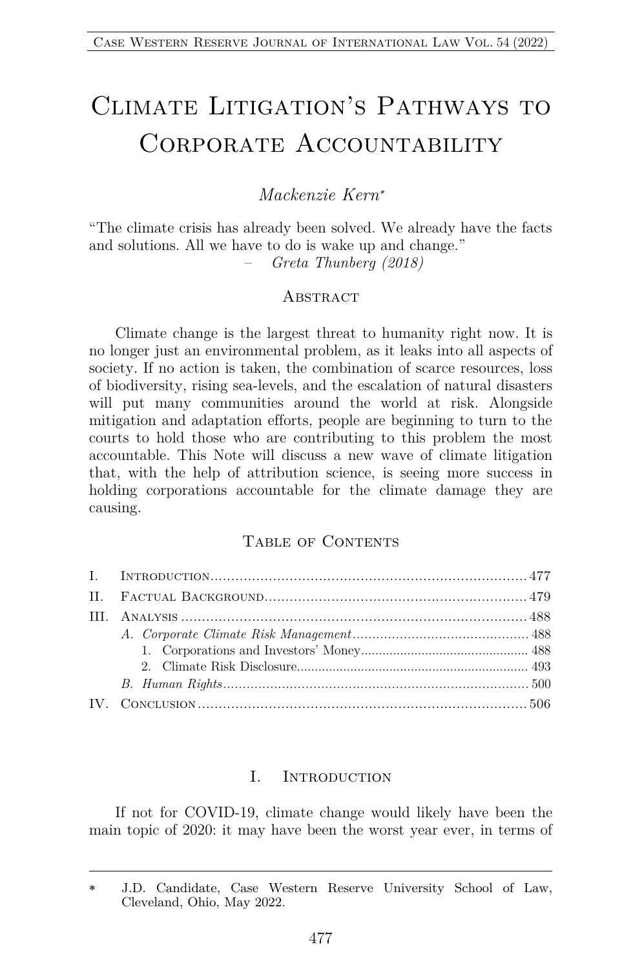# CLIMATE LITIGATION'S PATHWAYS TO CORPORATE ACCOUNTABILITY

# *Mackenzie Kern*\*

"The climate crisis has already been solved. We already have the facts and solutions. All we have to do is wake up and change." – *Greta Thunberg (2018)*

#### **ABSTRACT**

Climate change is the largest threat to humanity right now. It is no longer just an environmental problem, as it leaks into all aspects of society. If no action is taken, the combination of scarce resources, loss of biodiversity, rising sea-levels, and the escalation of natural disasters will put many communities around the world at risk. Alongside mitigation and adaptation efforts, people are beginning to turn to the courts to hold those who are contributing to this problem the most accountable. This Note will discuss a new wave of climate litigation that, with the help of attribution science, is seeing more success in holding corporations accountable for the climate damage they are causing.

### TABLE OF CONTENTS

#### I. Introduction

If not for COVID-19, climate change would likely have been the main topic of 2020: it may have been the worst year ever, in terms of

<sup>\*</sup> J.D. Candidate, Case Western Reserve University School of Law, Cleveland, Ohio, May 2022.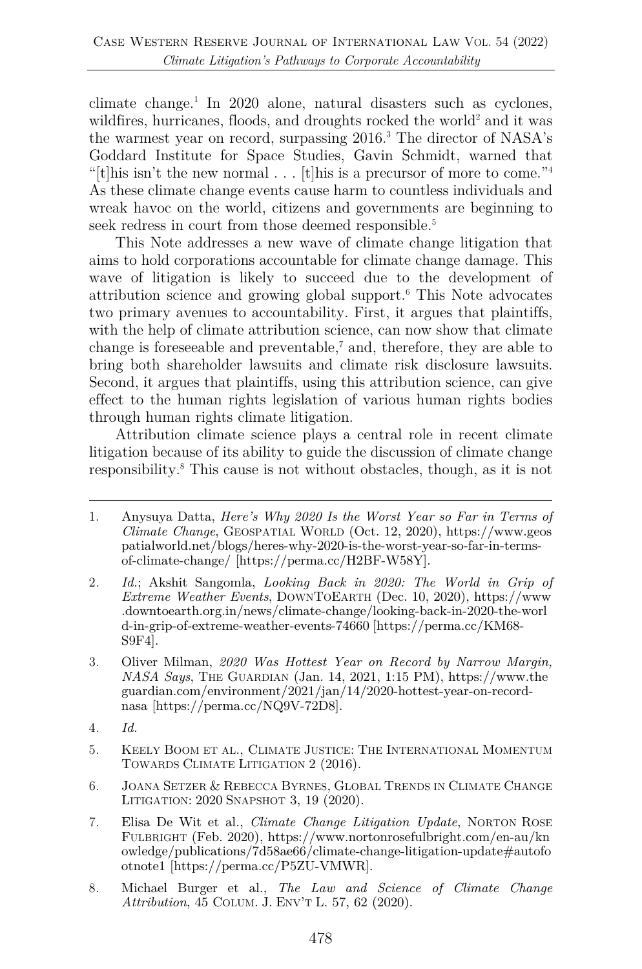climate change.<sup>1</sup> In 2020 alone, natural disasters such as cyclones, wildfires, hurricanes, floods, and droughts rocked the world<sup>2</sup> and it was the warmest year on record, surpassing 2016.3 The director of NASA's Goddard Institute for Space Studies, Gavin Schmidt, warned that "[t]his isn't the new normal . . . [t]his is a precursor of more to come."<sup>4</sup> As these climate change events cause harm to countless individuals and wreak havoc on the world, citizens and governments are beginning to seek redress in court from those deemed responsible.<sup>5</sup>

This Note addresses a new wave of climate change litigation that aims to hold corporations accountable for climate change damage. This wave of litigation is likely to succeed due to the development of attribution science and growing global support. <sup>6</sup> This Note advocates two primary avenues to accountability. First, it argues that plaintiffs, with the help of climate attribution science, can now show that climate change is foreseeable and preventable, <sup>7</sup> and, therefore, they are able to bring both shareholder lawsuits and climate risk disclosure lawsuits. Second, it argues that plaintiffs, using this attribution science, can give effect to the human rights legislation of various human rights bodies through human rights climate litigation.

Attribution climate science plays a central role in recent climate litigation because of its ability to guide the discussion of climate change responsibility.8 This cause is not without obstacles, though, as it is not

- 3. Oliver Milman, *2020 Was Hottest Year on Record by Narrow Margin, NASA Says*, THE GUARDIAN (Jan. 14, 2021, 1:15 PM), https://www.the guardian.com/environment/2021/jan/14/2020-hottest-year-on-recordnasa [https://perma.cc/NQ9V-72D8].
- 4*. Id.*
- 5. KEELY BOOM ET AL., CLIMATE JUSTICE: THE INTERNATIONAL MOMENTUM TOWARDS CLIMATE LITIGATION 2 (2016).
- 6. JOANA SETZER & REBECCA BYRNES, GLOBAL TRENDS IN CLIMATE CHANGE LITIGATION: 2020 SNAPSHOT 3, 19 (2020).
- 7. Elisa De Wit et al., *Climate Change Litigation Update*, NORTON ROSE FULBRIGHT (Feb. 2020), https://www.nortonrosefulbright.com/en-au/kn owledge/publications/7d58ae66/climate-change-litigation-update#autofo otnote1 [https://perma.cc/P5ZU-VMWR].
- 8. Michael Burger et al., *The Law and Science of Climate Change Attribution*, 45 COLUM. J. ENV'T L. 57, 62 (2020).

<sup>1.</sup> Anysuya Datta, *Here's Why 2020 Is the Worst Year so Far in Terms of Climate Change*, GEOSPATIAL WORLD (Oct. 12, 2020), https://www.geos patialworld.net/blogs/heres-why-2020-is-the-worst-year-so-far-in-termsof-climate-change/ [https://perma.cc/H2BF-W58Y].

<sup>2</sup>*. Id.*; Akshit Sangomla, *Looking Back in 2020: The World in Grip of Extreme Weather Events*, DOWNTOEARTH (Dec. 10, 2020), https://www .downtoearth.org.in/news/climate-change/looking-back-in-2020-the-worl d-in-grip-of-extreme-weather-events-74660 [https://perma.cc/KM68- S9F4].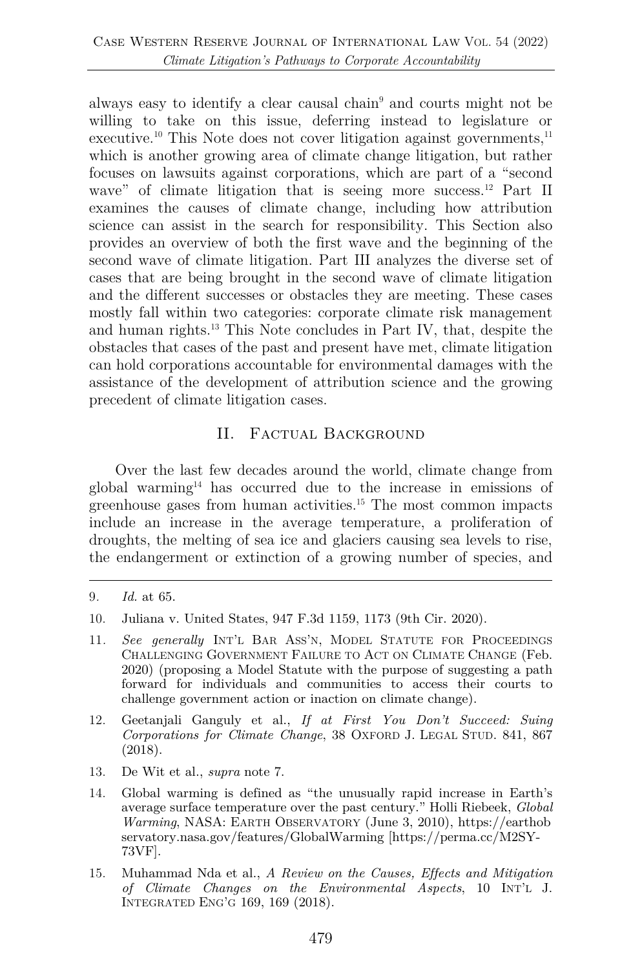always easy to identify a clear causal chain9 and courts might not be willing to take on this issue, deferring instead to legislature or executive.<sup>10</sup> This Note does not cover litigation against governments, $^{11}$ which is another growing area of climate change litigation, but rather focuses on lawsuits against corporations, which are part of a "second wave" of climate litigation that is seeing more success.<sup>12</sup> Part II examines the causes of climate change, including how attribution science can assist in the search for responsibility. This Section also provides an overview of both the first wave and the beginning of the second wave of climate litigation. Part III analyzes the diverse set of cases that are being brought in the second wave of climate litigation and the different successes or obstacles they are meeting. These cases mostly fall within two categories: corporate climate risk management and human rights.13 This Note concludes in Part IV, that, despite the obstacles that cases of the past and present have met, climate litigation can hold corporations accountable for environmental damages with the assistance of the development of attribution science and the growing precedent of climate litigation cases.

# II. Factual Background

Over the last few decades around the world, climate change from global warming14 has occurred due to the increase in emissions of greenhouse gases from human activities.15 The most common impacts include an increase in the average temperature, a proliferation of droughts, the melting of sea ice and glaciers causing sea levels to rise, the endangerment or extinction of a growing number of species, and

- 12. Geetanjali Ganguly et al., *If at First You Don't Succeed: Suing Corporations for Climate Change*, 38 OXFORD J. LEGAL STUD. 841, 867 (2018).
- 13. De Wit et al., *supra* note 7.
- 14. Global warming is defined as "the unusually rapid increase in Earth's average surface temperature over the past century." Holli Riebeek, *Global Warming*, NASA: EARTH OBSERVATORY (June 3, 2010), https://earthob servatory.nasa.gov/features/GlobalWarming [https://perma.cc/M2SY-73VF].
- 15. Muhammad Nda et al., *A Review on the Causes, Effects and Mitigation of Climate Changes on the Environmental Aspects*, 10 INT'L J. INTEGRATED ENG'G 169, 169 (2018).

<sup>9</sup>*. Id.* at 65.

<sup>10.</sup> Juliana v. United States, 947 F.3d 1159, 1173 (9th Cir. 2020).

<sup>11</sup>*. See generally* INT'L BAR ASS'N, MODEL STATUTE FOR PROCEEDINGS CHALLENGING GOVERNMENT FAILURE TO ACT ON CLIMATE CHANGE (Feb. 2020) (proposing a Model Statute with the purpose of suggesting a path forward for individuals and communities to access their courts to challenge government action or inaction on climate change).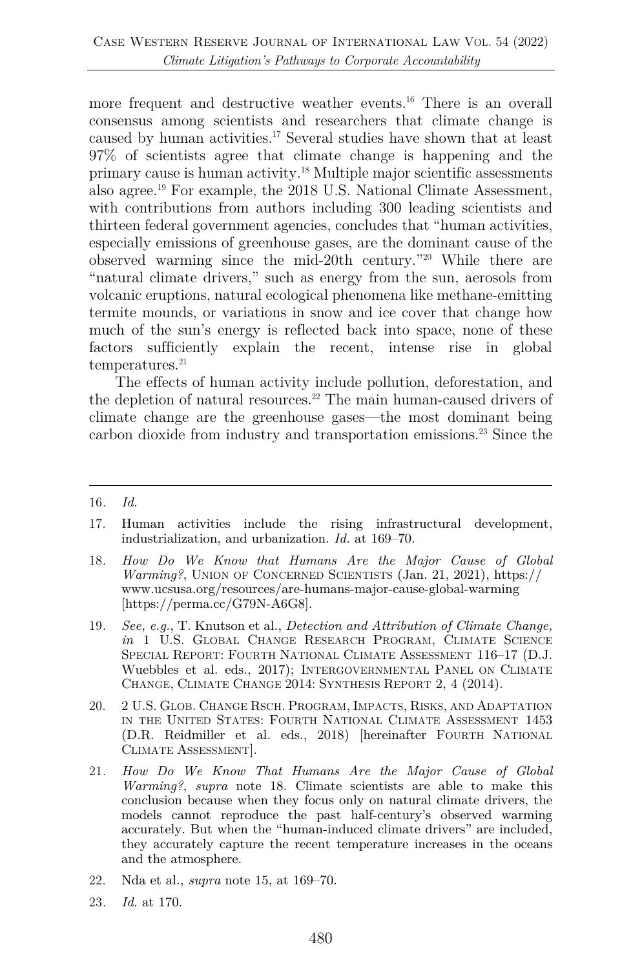more frequent and destructive weather events.<sup>16</sup> There is an overall consensus among scientists and researchers that climate change is caused by human activities.17 Several studies have shown that at least 97% of scientists agree that climate change is happening and the primary cause is human activity.18 Multiple major scientific assessments also agree.19 For example, the 2018 U.S. National Climate Assessment, with contributions from authors including 300 leading scientists and thirteen federal government agencies, concludes that "human activities, especially emissions of greenhouse gases, are the dominant cause of the observed warming since the mid-20th century."20 While there are "natural climate drivers," such as energy from the sun, aerosols from volcanic eruptions, natural ecological phenomena like methane-emitting termite mounds, or variations in snow and ice cover that change how much of the sun's energy is reflected back into space, none of these factors sufficiently explain the recent, intense rise in global  $temperatures.<sup>21</sup>$ 

The effects of human activity include pollution, deforestation, and the depletion of natural resources.<sup>22</sup> The main human-caused drivers of climate change are the greenhouse gases—the most dominant being carbon dioxide from industry and transportation emissions.<sup>23</sup> Since the

- 18*. How Do We Know that Humans Are the Major Cause of Global Warming?*, UNION OF CONCERNED SCIENTISTS (Jan. 21, 2021), https:// www.ucsusa.org/resources/are-humans-major-cause-global-warming [https://perma.cc/G79N-A6G8].
- 19*. See, e.g.*, T. Knutson et al., *Detection and Attribution of Climate Change, in* 1 U.S. GLOBAL CHANGE RESEARCH PROGRAM, CLIMATE SCIENCE SPECIAL REPORT: FOURTH NATIONAL CLIMATE ASSESSMENT 116-17 (D.J. Wuebbles et al. eds., 2017); INTERGOVERNMENTAL PANEL ON CLIMATE CHANGE, CLIMATE CHANGE 2014: SYNTHESIS REPORT 2, 4 (2014).
- 20. 2 U.S. GLOB. CHANGE RSCH. PROGRAM, IMPACTS, RISKS, AND ADAPTATION IN THE UNITED STATES: FOURTH NATIONAL CLIMATE ASSESSMENT 1453 (D.R. Reidmiller et al. eds., 2018) [hereinafter FOURTH NATIONAL CLIMATE ASSESSMENT].
- 21*. How Do We Know That Humans Are the Major Cause of Global Warming?*, *supra* note 18. Climate scientists are able to make this conclusion because when they focus only on natural climate drivers, the models cannot reproduce the past half-century's observed warming accurately. But when the "human-induced climate drivers" are included, they accurately capture the recent temperature increases in the oceans and the atmosphere.
- 22. Nda et al., *supra* note 15, at 169–70.
- 23*. Id.* at 170.

<sup>16</sup>*. Id.*

<sup>17.</sup> Human activities include the rising infrastructural development, industrialization, and urbanization. *Id.* at 169–70.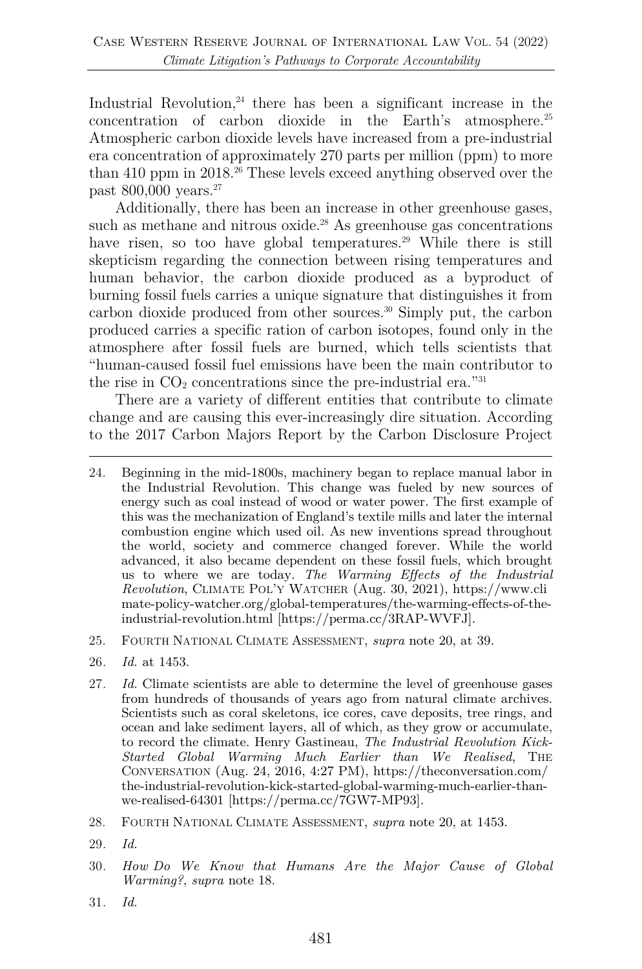Industrial Revolution, $24$  there has been a significant increase in the concentration of carbon dioxide in the Earth's atmosphere.25 Atmospheric carbon dioxide levels have increased from a pre-industrial era concentration of approximately 270 parts per million (ppm) to more than 410 ppm in 2018.<sup>26</sup> These levels exceed anything observed over the past 800,000 years.<sup>27</sup>

Additionally, there has been an increase in other greenhouse gases, such as methane and nitrous oxide. $28$  As greenhouse gas concentrations have risen, so too have global temperatures.<sup>29</sup> While there is still skepticism regarding the connection between rising temperatures and human behavior, the carbon dioxide produced as a byproduct of burning fossil fuels carries a unique signature that distinguishes it from carbon dioxide produced from other sources.30 Simply put, the carbon produced carries a specific ration of carbon isotopes, found only in the atmosphere after fossil fuels are burned, which tells scientists that "human-caused fossil fuel emissions have been the main contributor to the rise in  $CO<sub>2</sub>$  concentrations since the pre-industrial era."<sup>31</sup>

There are a variety of different entities that contribute to climate change and are causing this ever-increasingly dire situation. According to the 2017 Carbon Majors Report by the Carbon Disclosure Project

- 25. FOURTH NATIONAL CLIMATE ASSESSMENT, *supra* note 20, at 39.
- 26*. Id.* at 1453.
- 27*. Id.* Climate scientists are able to determine the level of greenhouse gases from hundreds of thousands of years ago from natural climate archives. Scientists such as coral skeletons, ice cores, cave deposits, tree rings, and ocean and lake sediment layers, all of which, as they grow or accumulate, to record the climate. Henry Gastineau, *The Industrial Revolution Kick-Started Global Warming Much Earlier than We Realised*, THE CONVERSATION (Aug. 24, 2016, 4:27 PM), https://theconversation.com/ the-industrial-revolution-kick-started-global-warming-much-earlier-thanwe-realised-64301 [https://perma.cc/7GW7-MP93].
- 28. FOURTH NATIONAL CLIMATE ASSESSMENT, *supra* note 20, at 1453.
- 29*. Id.*
- 30*. How Do We Know that Humans Are the Major Cause of Global Warming?*, *supra* note 18.
- 31*. Id.*

<sup>24.</sup> Beginning in the mid-1800s, machinery began to replace manual labor in the Industrial Revolution. This change was fueled by new sources of energy such as coal instead of wood or water power. The first example of this was the mechanization of England's textile mills and later the internal combustion engine which used oil. As new inventions spread throughout the world, society and commerce changed forever. While the world advanced, it also became dependent on these fossil fuels, which brought us to where we are today. *The Warming Effects of the Industrial Revolution*, CLIMATE POL'Y WATCHER (Aug. 30, 2021), https://www.cli mate-policy-watcher.org/global-temperatures/the-warming-effects-of-theindustrial-revolution.html [https://perma.cc/3RAP-WVFJ].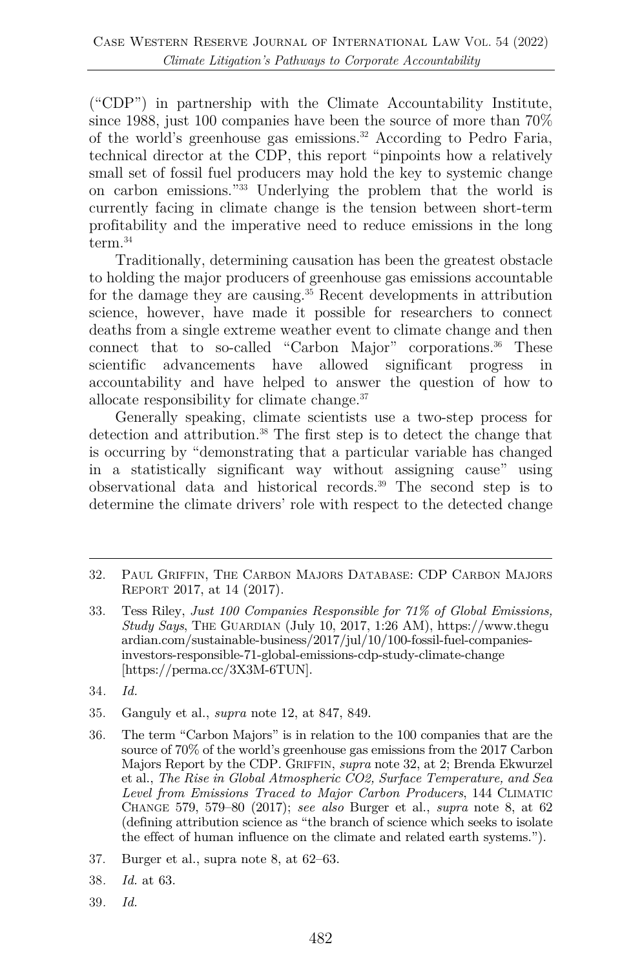("CDP") in partnership with the Climate Accountability Institute, since 1988, just 100 companies have been the source of more than 70% of the world's greenhouse gas emissions.32 According to Pedro Faria, technical director at the CDP, this report "pinpoints how a relatively small set of fossil fuel producers may hold the key to systemic change on carbon emissions."33 Underlying the problem that the world is currently facing in climate change is the tension between short-term profitability and the imperative need to reduce emissions in the long term. 34

Traditionally, determining causation has been the greatest obstacle to holding the major producers of greenhouse gas emissions accountable for the damage they are causing.<sup>35</sup> Recent developments in attribution science, however, have made it possible for researchers to connect deaths from a single extreme weather event to climate change and then connect that to so-called "Carbon Major" corporations.<sup>36</sup> These scientific advancements have allowed significant progress in accountability and have helped to answer the question of how to allocate responsibility for climate change.37

Generally speaking, climate scientists use a two-step process for detection and attribution.<sup>38</sup> The first step is to detect the change that is occurring by "demonstrating that a particular variable has changed in a statistically significant way without assigning cause" using observational data and historical records.39 The second step is to determine the climate drivers' role with respect to the detected change

39*. Id.*

<sup>32.</sup> PAUL GRIFFIN, THE CARBON MAJORS DATABASE: CDP CARBON MAJORS REPORT 2017, at 14 (2017).

<sup>33.</sup> Tess Riley, *Just 100 Companies Responsible for 71% of Global Emissions, Study Says*, THE GUARDIAN (July 10, 2017, 1:26 AM), https://www.thegu ardian.com/sustainable-business/2017/jul/10/100-fossil-fuel-companiesinvestors-responsible-71-global-emissions-cdp-study-climate-change [https://perma.cc/3X3M-6TUN].

<sup>34</sup>*. Id.*

<sup>35.</sup> Ganguly et al., *supra* note 12, at 847, 849.

<sup>36.</sup> The term "Carbon Majors" is in relation to the 100 companies that are the source of 70% of the world's greenhouse gas emissions from the 2017 Carbon Majors Report by the CDP. GRIFFIN, *supra* note 32, at 2; Brenda Ekwurzel et al., *The Rise in Global Atmospheric CO2, Surface Temperature, and Sea Level from Emissions Traced to Major Carbon Producers*, 144 CLIMATIC CHANGE 579, 579–80 (2017); *see also* Burger et al., *supra* note 8, at 62 (defining attribution science as "the branch of science which seeks to isolate the effect of human influence on the climate and related earth systems.").

<sup>37.</sup> Burger et al., supra note 8, at 62–63.

<sup>38</sup>*. Id.* at 63.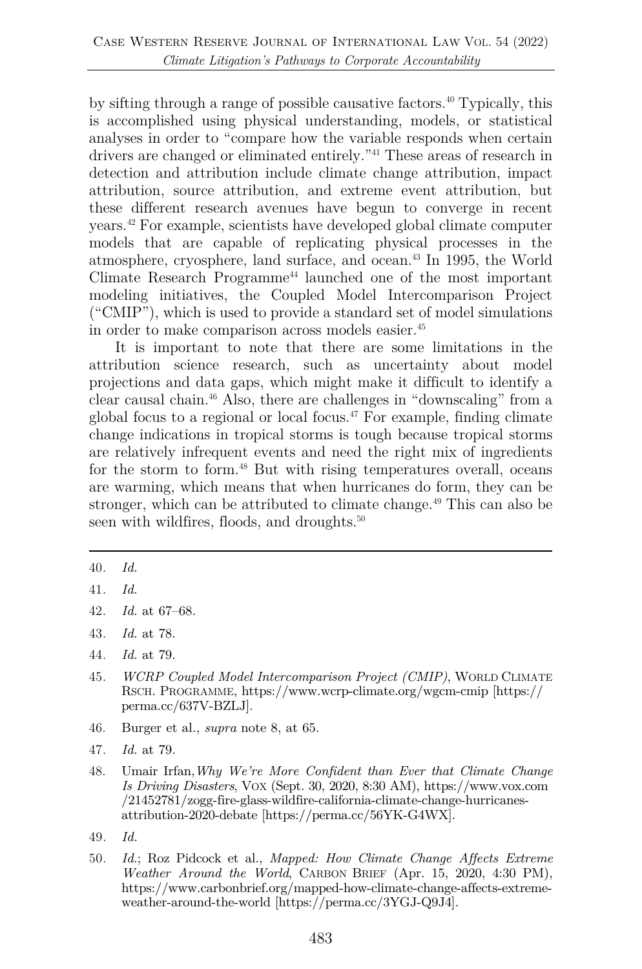by sifting through a range of possible causative factors.40 Typically, this is accomplished using physical understanding, models, or statistical analyses in order to "compare how the variable responds when certain drivers are changed or eliminated entirely."41 These areas of research in detection and attribution include climate change attribution, impact attribution, source attribution, and extreme event attribution, but these different research avenues have begun to converge in recent years.42 For example, scientists have developed global climate computer models that are capable of replicating physical processes in the atmosphere, cryosphere, land surface, and ocean.43 In 1995, the World Climate Research Programme<sup>44</sup> launched one of the most important modeling initiatives, the Coupled Model Intercomparison Project ("CMIP"), which is used to provide a standard set of model simulations in order to make comparison across models easier.45

It is important to note that there are some limitations in the attribution science research, such as uncertainty about model projections and data gaps, which might make it difficult to identify a clear causal chain.46 Also, there are challenges in "downscaling" from a global focus to a regional or local focus.<sup> $47$ </sup> For example, finding climate change indications in tropical storms is tough because tropical storms are relatively infrequent events and need the right mix of ingredients for the storm to form.<sup>48</sup> But with rising temperatures overall, oceans are warming, which means that when hurricanes do form, they can be stronger, which can be attributed to climate change.<sup>49</sup> This can also be seen with wildfires, floods, and droughts.<sup>50</sup>

- 45*. WCRP Coupled Model Intercomparison Project (CMIP)*, WORLD CLIMATE RSCH. PROGRAMME, https://www.wcrp-climate.org/wgcm-cmip [https:// perma.cc/637V-BZLJ].
- 46. Burger et al., *supra* note 8, at 65.
- 47*. Id.* at 79.
- 48. Umair Irfan,*Why We're More Confident than Ever that Climate Change Is Driving Disasters*, VOX (Sept. 30, 2020, 8:30 AM), https://www.vox.com /21452781/zogg-fire-glass-wildfire-california-climate-change-hurricanesattribution-2020-debate [https://perma.cc/56YK-G4WX].
- 49*. Id.*
- 50*. Id.*; Roz Pidcock et al., *Mapped: How Climate Change Affects Extreme Weather Around the World*, CARBON BRIEF (Apr. 15, 2020, 4:30 PM), https://www.carbonbrief.org/mapped-how-climate-change-affects-extremeweather-around-the-world [https://perma.cc/3YGJ-Q9J4].

<sup>40</sup>*. Id.*

<sup>41</sup>*. Id.*

<sup>42</sup>*. Id.* at 67–68.

<sup>43</sup>*. Id.* at 78.

<sup>44</sup>*. Id.* at 79.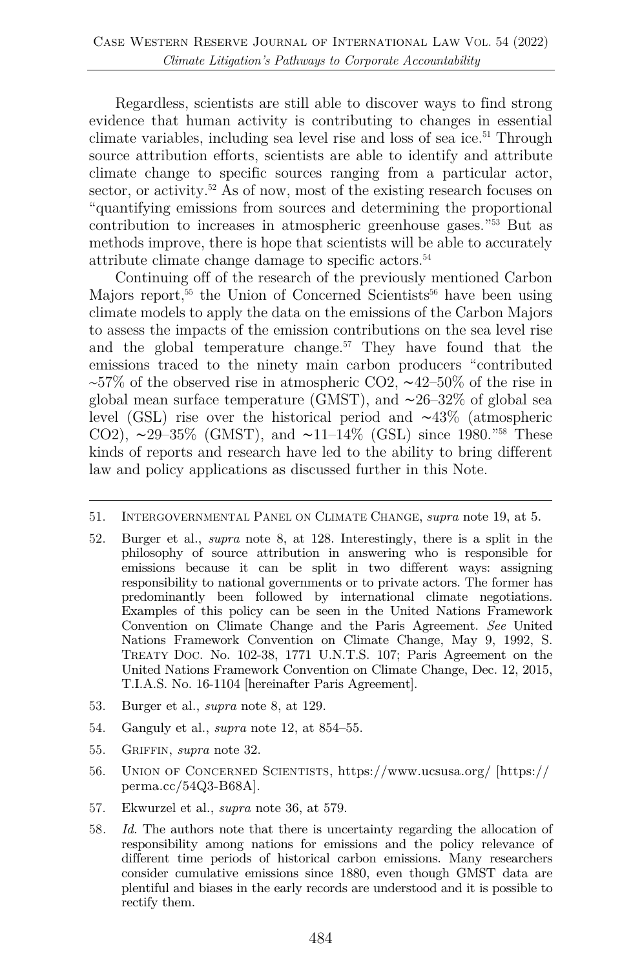Regardless, scientists are still able to discover ways to find strong evidence that human activity is contributing to changes in essential climate variables, including sea level rise and loss of sea ice.<sup>51</sup> Through source attribution efforts, scientists are able to identify and attribute climate change to specific sources ranging from a particular actor, sector, or activity.<sup>52</sup> As of now, most of the existing research focuses on "quantifying emissions from sources and determining the proportional contribution to increases in atmospheric greenhouse gases."53 But as methods improve, there is hope that scientists will be able to accurately attribute climate change damage to specific actors.54

Continuing off of the research of the previously mentioned Carbon Majors report,<sup>55</sup> the Union of Concerned Scientists<sup>56</sup> have been using climate models to apply the data on the emissions of the Carbon Majors to assess the impacts of the emission contributions on the sea level rise and the global temperature change.<sup>57</sup> They have found that the emissions traced to the ninety main carbon producers "contributed ~57% of the observed rise in atmospheric CO2, ~42–50% of the rise in global mean surface temperature (GMST), and ∼26–32% of global sea level (GSL) rise over the historical period and ∼43% (atmospheric CO2),  $\sim$ 29–35% (GMST), and  $\sim$ 11–14% (GSL) since 1980."<sup>58</sup> These kinds of reports and research have led to the ability to bring different law and policy applications as discussed further in this Note.

- 52. Burger et al., *supra* note 8, at 128. Interestingly, there is a split in the philosophy of source attribution in answering who is responsible for emissions because it can be split in two different ways: assigning responsibility to national governments or to private actors. The former has predominantly been followed by international climate negotiations. Examples of this policy can be seen in the United Nations Framework Convention on Climate Change and the Paris Agreement. *See* United Nations Framework Convention on Climate Change, May 9, 1992, S. TREATY DOC. No. 102-38, 1771 U.N.T.S. 107; Paris Agreement on the United Nations Framework Convention on Climate Change, Dec. 12, 2015, T.I.A.S. No. 16-1104 [hereinafter Paris Agreement].
- 53. Burger et al., *supra* note 8, at 129.
- 54. Ganguly et al., *supra* note 12, at 854–55.
- 55. GRIFFIN, *supra* note 32.
- 56. UNION OF CONCERNED SCIENTISTS, https://www.ucsusa.org/ [https:// perma.cc/54Q3-B68A].
- 57. Ekwurzel et al., *supra* note 36, at 579.
- 58*. Id.* The authors note that there is uncertainty regarding the allocation of responsibility among nations for emissions and the policy relevance of different time periods of historical carbon emissions. Many researchers consider cumulative emissions since 1880, even though GMST data are plentiful and biases in the early records are understood and it is possible to rectify them.

<sup>51.</sup> INTERGOVERNMENTAL PANEL ON CLIMATE CHANGE, *supra* note 19, at 5.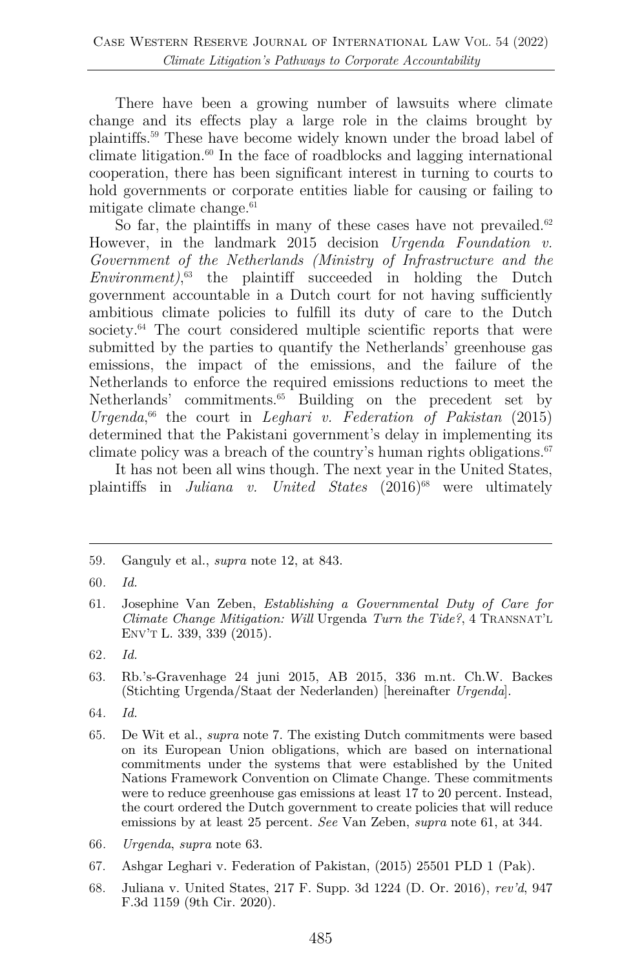There have been a growing number of lawsuits where climate change and its effects play a large role in the claims brought by plaintiffs. <sup>59</sup> These have become widely known under the broad label of climate litigation.60 In the face of roadblocks and lagging international cooperation, there has been significant interest in turning to courts to hold governments or corporate entities liable for causing or failing to mitigate climate change. $61$ 

So far, the plaintiffs in many of these cases have not prevailed.<sup>62</sup> However, in the landmark 2015 decision *Urgenda Foundation v. Government of the Netherlands (Ministry of Infrastructure and the Environment)*, <sup>63</sup> the plaintiff succeeded in holding the Dutch government accountable in a Dutch court for not having sufficiently ambitious climate policies to fulfill its duty of care to the Dutch society.<sup>64</sup> The court considered multiple scientific reports that were submitted by the parties to quantify the Netherlands' greenhouse gas emissions, the impact of the emissions, and the failure of the Netherlands to enforce the required emissions reductions to meet the Netherlands' commitments.<sup>65</sup> Building on the precedent set by *Urgenda*, <sup>66</sup> the court in *Leghari v. Federation of Pakistan* (2015) determined that the Pakistani government's delay in implementing its climate policy was a breach of the country's human rights obligations. $67$ 

It has not been all wins though. The next year in the United States, plaintiffs in *Juliana v. United States*  $(2016)^{68}$  were ultimately

<sup>59.</sup> Ganguly et al., *supra* note 12, at 843.

<sup>60</sup>*. Id.*

<sup>61.</sup> Josephine Van Zeben, *Establishing a Governmental Duty of Care for Climate Change Mitigation: Will* Urgenda *Turn the Tide?*, 4 TRANSNAT'L ENV'T L. 339, 339 (2015).

<sup>62</sup>*. Id.*

<sup>63.</sup> Rb.'s-Gravenhage 24 juni 2015, AB 2015, 336 m.nt. Ch.W. Backes (Stichting Urgenda/Staat der Nederlanden) [hereinafter *Urgenda*].

<sup>64</sup>*. Id.*

<sup>65.</sup> De Wit et al., *supra* note 7. The existing Dutch commitments were based on its European Union obligations, which are based on international commitments under the systems that were established by the United Nations Framework Convention on Climate Change. These commitments were to reduce greenhouse gas emissions at least 17 to 20 percent. Instead, the court ordered the Dutch government to create policies that will reduce emissions by at least 25 percent. *See* Van Zeben, *supra* note 61, at 344.

<sup>66</sup>*. Urgenda*, *supra* note 63.

<sup>67.</sup> Ashgar Leghari v. Federation of Pakistan, (2015) 25501 PLD 1 (Pak).

<sup>68.</sup> Juliana v. United States, 217 F. Supp. 3d 1224 (D. Or. 2016), *rev'd*, 947 F.3d 1159 (9th Cir. 2020).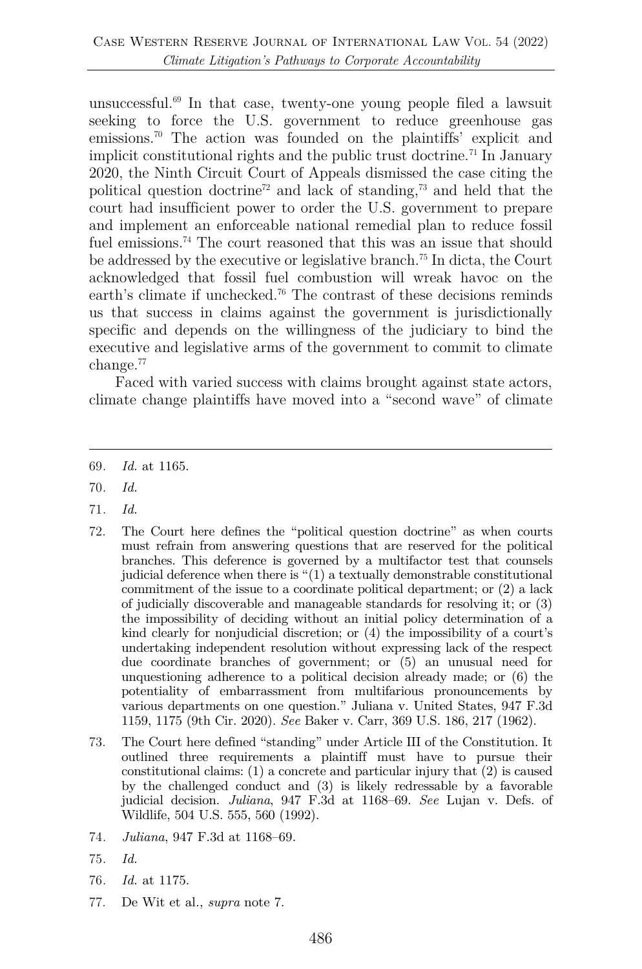unsuccessful. <sup>69</sup> In that case, twenty-one young people filed a lawsuit seeking to force the U.S. government to reduce greenhouse gas emissions.70 The action was founded on the plaintiffs' explicit and implicit constitutional rights and the public trust doctrine.<sup>71</sup> In January 2020, the Ninth Circuit Court of Appeals dismissed the case citing the political question doctrine<sup>72</sup> and lack of standing,<sup>73</sup> and held that the court had insufficient power to order the U.S. government to prepare and implement an enforceable national remedial plan to reduce fossil fuel emissions.<sup>74</sup> The court reasoned that this was an issue that should be addressed by the executive or legislative branch.75 In dicta, the Court acknowledged that fossil fuel combustion will wreak havoc on the earth's climate if unchecked.<sup>76</sup> The contrast of these decisions reminds us that success in claims against the government is jurisdictionally specific and depends on the willingness of the judiciary to bind the executive and legislative arms of the government to commit to climate change.<sup>77</sup>

Faced with varied success with claims brought against state actors, climate change plaintiffs have moved into a "second wave" of climate

- 70*. Id.*
- 71*. Id.*
- 72. The Court here defines the "political question doctrine" as when courts must refrain from answering questions that are reserved for the political branches. This deference is governed by a multifactor test that counsels judicial deference when there is "(1) a textually demonstrable constitutional commitment of the issue to a coordinate political department; or (2) a lack of judicially discoverable and manageable standards for resolving it; or (3) the impossibility of deciding without an initial policy determination of a kind clearly for nonjudicial discretion; or (4) the impossibility of a court's undertaking independent resolution without expressing lack of the respect due coordinate branches of government; or (5) an unusual need for unquestioning adherence to a political decision already made; or (6) the potentiality of embarrassment from multifarious pronouncements by various departments on one question." Juliana v. United States, 947 F.3d 1159, 1175 (9th Cir. 2020). *See* Baker v. Carr, 369 U.S. 186, 217 (1962).
- 73. The Court here defined "standing" under Article III of the Constitution. It outlined three requirements a plaintiff must have to pursue their constitutional claims: (1) a concrete and particular injury that (2) is caused by the challenged conduct and (3) is likely redressable by a favorable judicial decision. *Juliana*, 947 F.3d at 1168–69. *See* Lujan v. Defs. of Wildlife, 504 U.S. 555, 560 (1992).
- 74*. Juliana*, 947 F.3d at 1168–69.
- 75*. Id.*
- 76*. Id.* at 1175.
- 77. De Wit et al., *supra* note 7.

<sup>69</sup>*. Id.* at 1165.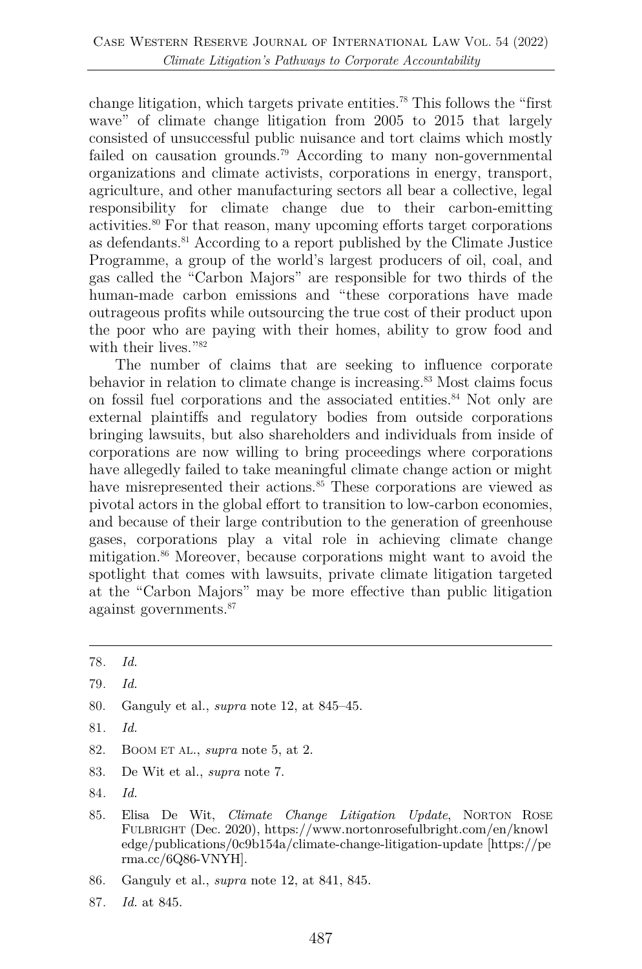change litigation, which targets private entities.78 This follows the "first wave" of climate change litigation from 2005 to 2015 that largely consisted of unsuccessful public nuisance and tort claims which mostly failed on causation grounds.79 According to many non-governmental organizations and climate activists, corporations in energy, transport, agriculture, and other manufacturing sectors all bear a collective, legal responsibility for climate change due to their carbon-emitting activities.80 For that reason, many upcoming efforts target corporations as defendants.81 According to a report published by the Climate Justice Programme, a group of the world's largest producers of oil, coal, and gas called the "Carbon Majors" are responsible for two thirds of the human-made carbon emissions and "these corporations have made outrageous profits while outsourcing the true cost of their product upon the poor who are paying with their homes, ability to grow food and with their lives."<sup>82</sup>

The number of claims that are seeking to influence corporate behavior in relation to climate change is increasing.<sup>83</sup> Most claims focus on fossil fuel corporations and the associated entities.<sup>84</sup> Not only are external plaintiffs and regulatory bodies from outside corporations bringing lawsuits, but also shareholders and individuals from inside of corporations are now willing to bring proceedings where corporations have allegedly failed to take meaningful climate change action or might have misrepresented their actions.<sup>85</sup> These corporations are viewed as pivotal actors in the global effort to transition to low-carbon economies, and because of their large contribution to the generation of greenhouse gases, corporations play a vital role in achieving climate change mitigation.<sup>86</sup> Moreover, because corporations might want to avoid the spotlight that comes with lawsuits, private climate litigation targeted at the "Carbon Majors" may be more effective than public litigation against governments.87

- 80. Ganguly et al., *supra* note 12, at 845–45.
- 81*. Id.*
- 82. BOOM ET AL., *supra* note 5, at 2.
- 83. De Wit et al., *supra* note 7.
- 84*. Id.*
- 85. Elisa De Wit, *Climate Change Litigation Update*, NORTON ROSE FULBRIGHT (Dec. 2020), https://www.nortonrosefulbright.com/en/knowl edge/publications/0c9b154a/climate-change-litigation-update [https://pe rma.cc/6Q86-VNYH].
- 86. Ganguly et al., *supra* note 12, at 841, 845.
- 87*. Id.* at 845.

<sup>78</sup>*. Id.*

<sup>79</sup>*. Id.*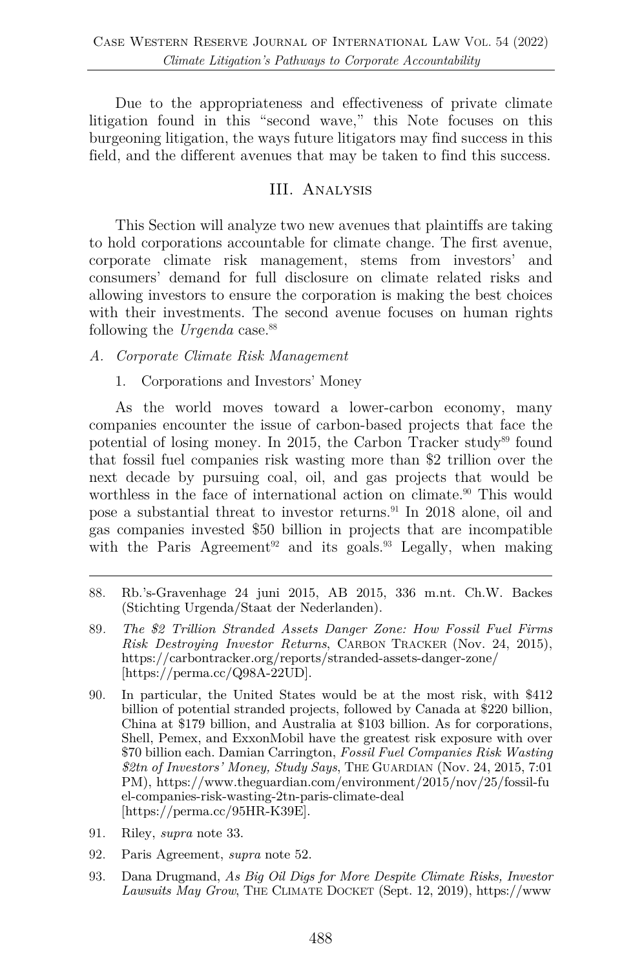Due to the appropriateness and effectiveness of private climate litigation found in this "second wave," this Note focuses on this burgeoning litigation, the ways future litigators may find success in this field, and the different avenues that may be taken to find this success.

### III. Analysis

This Section will analyze two new avenues that plaintiffs are taking to hold corporations accountable for climate change. The first avenue, corporate climate risk management, stems from investors' and consumers' demand for full disclosure on climate related risks and allowing investors to ensure the corporation is making the best choices with their investments. The second avenue focuses on human rights following the *Urgenda* case.88

*A. Corporate Climate Risk Management*

1. Corporations and Investors' Money

As the world moves toward a lower-carbon economy, many companies encounter the issue of carbon-based projects that face the potential of losing money. In 2015, the Carbon Tracker study<sup>89</sup> found that fossil fuel companies risk wasting more than \$2 trillion over the next decade by pursuing coal, oil, and gas projects that would be worthless in the face of international action on climate.<sup>90</sup> This would pose a substantial threat to investor returns.91 In 2018 alone, oil and gas companies invested \$50 billion in projects that are incompatible with the Paris Agreement<sup>92</sup> and its goals.<sup>93</sup> Legally, when making

- 91. Riley, *supra* note 33.
- 92. Paris Agreement, *supra* note 52.
- 93. Dana Drugmand, *As Big Oil Digs for More Despite Climate Risks, Investor Lawsuits May Grow*, THE CLIMATE DOCKET (Sept. 12, 2019), https://www

<sup>88.</sup> Rb.'s-Gravenhage 24 juni 2015, AB 2015, 336 m.nt. Ch.W. Backes (Stichting Urgenda/Staat der Nederlanden).

<sup>89</sup>*. The \$2 Trillion Stranded Assets Danger Zone: How Fossil Fuel Firms Risk Destroying Investor Returns*, CARBON TRACKER (Nov. 24, 2015), https://carbontracker.org/reports/stranded-assets-danger-zone/ [https://perma.cc/Q98A-22UD].

<sup>90.</sup> In particular, the United States would be at the most risk, with \$412 billion of potential stranded projects, followed by Canada at \$220 billion, China at \$179 billion, and Australia at \$103 billion. As for corporations, Shell, Pemex, and ExxonMobil have the greatest risk exposure with over \$70 billion each. Damian Carrington, *Fossil Fuel Companies Risk Wasting \$2tn of Investors' Money, Study Says*, THE GUARDIAN (Nov. 24, 2015, 7:01 PM), https://www.theguardian.com/environment/2015/nov/25/fossil-fu el-companies-risk-wasting-2tn-paris-climate-deal [https://perma.cc/95HR-K39E].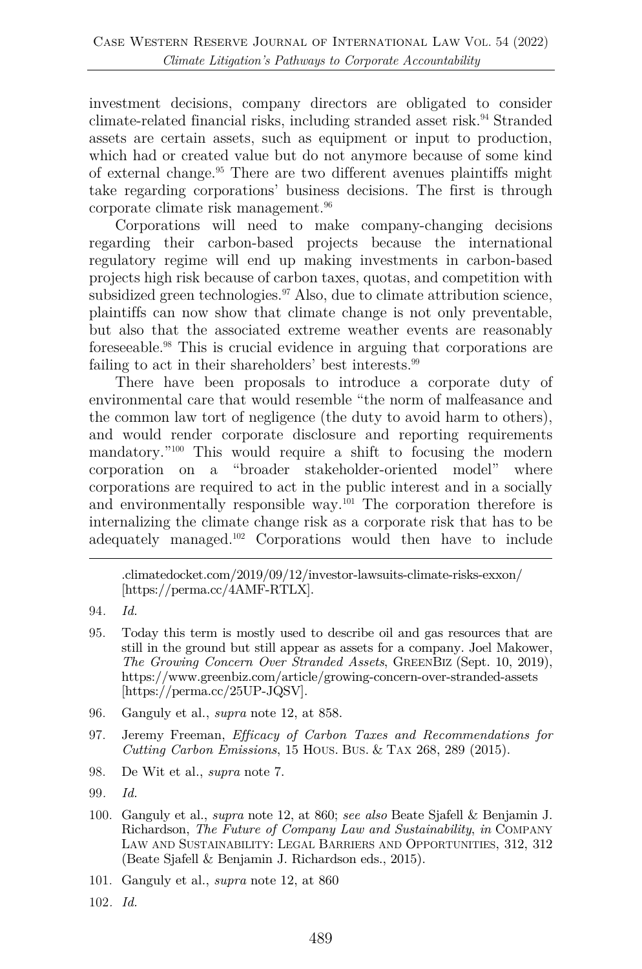investment decisions, company directors are obligated to consider climate-related financial risks, including stranded asset risk.94 Stranded assets are certain assets, such as equipment or input to production, which had or created value but do not anymore because of some kind of external change.95 There are two different avenues plaintiffs might take regarding corporations' business decisions. The first is through corporate climate risk management.<sup>96</sup>

Corporations will need to make company-changing decisions regarding their carbon-based projects because the international regulatory regime will end up making investments in carbon-based projects high risk because of carbon taxes, quotas, and competition with subsidized green technologies.<sup>97</sup> Also, due to climate attribution science, plaintiffs can now show that climate change is not only preventable, but also that the associated extreme weather events are reasonably foreseeable.98 This is crucial evidence in arguing that corporations are failing to act in their shareholders' best interests.99

There have been proposals to introduce a corporate duty of environmental care that would resemble "the norm of malfeasance and the common law tort of negligence (the duty to avoid harm to others), and would render corporate disclosure and reporting requirements mandatory."100 This would require a shift to focusing the modern corporation on a "broader stakeholder-oriented model" where corporations are required to act in the public interest and in a socially and environmentally responsible way. $^{101}$  The corporation therefore is internalizing the climate change risk as a corporate risk that has to be adequately managed.102 Corporations would then have to include

- 96. Ganguly et al., *supra* note 12, at 858.
- 97. Jeremy Freeman, *Efficacy of Carbon Taxes and Recommendations for Cutting Carbon Emissions*, 15 HOUS. BUS. & TAX 268, 289 (2015).
- 98. De Wit et al., *supra* note 7.

- 100. Ganguly et al., *supra* note 12, at 860; *see also* Beate Sjafell & Benjamin J. Richardson, *The Future of Company Law and Sustainability*, *in* COMPANY LAW AND SUSTAINABILITY: LEGAL BARRIERS AND OPPORTUNITIES, 312, 312 (Beate Sjafell & Benjamin J. Richardson eds., 2015).
- 101. Ganguly et al., *supra* note 12, at 860
- 102*. Id.*

<sup>.</sup>climatedocket.com/2019/09/12/investor-lawsuits-climate-risks-exxon/ [https://perma.cc/4AMF-RTLX].

<sup>94</sup>*. Id.*

<sup>95.</sup> Today this term is mostly used to describe oil and gas resources that are still in the ground but still appear as assets for a company. Joel Makower, *The Growing Concern Over Stranded Assets*, GREENBIZ (Sept. 10, 2019), https://www.greenbiz.com/article/growing-concern-over-stranded-assets [https://perma.cc/25UP-JQSV].

<sup>99</sup>*. Id.*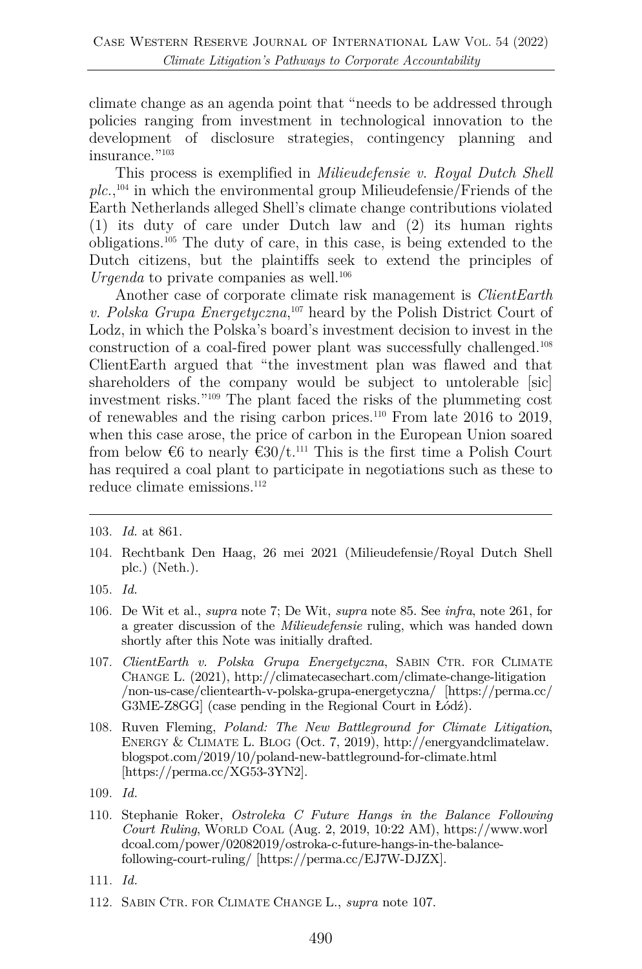climate change as an agenda point that "needs to be addressed through policies ranging from investment in technological innovation to the development of disclosure strategies, contingency planning and insurance."103

This process is exemplified in *Milieudefensie v. Royal Dutch Shell plc.*, <sup>104</sup> in which the environmental group Milieudefensie/Friends of the Earth Netherlands alleged Shell's climate change contributions violated (1) its duty of care under Dutch law and (2) its human rights obligations.105 The duty of care, in this case, is being extended to the Dutch citizens, but the plaintiffs seek to extend the principles of *Urgenda* to private companies as well.<sup>106</sup>

Another case of corporate climate risk management is *ClientEarth v. Polska Grupa Energetyczna*, <sup>107</sup> heard by the Polish District Court of Lodz, in which the Polska's board's investment decision to invest in the construction of a coal-fired power plant was successfully challenged.108 ClientEarth argued that "the investment plan was flawed and that shareholders of the company would be subject to untolerable [sic] investment risks."109 The plant faced the risks of the plummeting cost of renewables and the rising carbon prices.110 From late 2016 to 2019, when this case arose, the price of carbon in the European Union soared from below  $\epsilon$ 6 to nearly  $\epsilon$ 30/t.<sup>111</sup> This is the first time a Polish Court has required a coal plant to participate in negotiations such as these to reduce climate emissions.<sup>112</sup>

- 107. *ClientEarth v. Polska Grupa Energetyczna*, SABIN CTR. FOR CLIMATE CHANGE L. (2021), http://climatecasechart.com/climate-change-litigation /non-us-case/clientearth-v-polska-grupa-energetyczna/ [https://perma.cc/ G3ME-Z8GG] (case pending in the Regional Court in Łódź).
- 108. Ruven Fleming, *Poland: The New Battleground for Climate Litigation*, ENERGY & CLIMATE L. BLOG (Oct. 7, 2019), http://energyandclimatelaw. blogspot.com/2019/10/poland-new-battleground-for-climate.html [https://perma.cc/XG53-3YN2].

- 110. Stephanie Roker, *Ostroleka C Future Hangs in the Balance Following Court Ruling*, WORLD COAL (Aug. 2, 2019, 10:22 AM), https://www.worl dcoal.com/power/02082019/ostroka-c-future-hangs-in-the-balancefollowing-court-ruling/ [https://perma.cc/EJ7W-DJZX].
- 111. *Id.*
- 112. SABIN CTR. FOR CLIMATE CHANGE L., *supra* note 107.

<sup>103.</sup> *Id.* at 861.

<sup>104.</sup> Rechtbank Den Haag, 26 mei 2021 (Milieudefensie/Royal Dutch Shell plc.) (Neth.).

<sup>105.</sup> *Id.*

<sup>106.</sup> De Wit et al., *supra* note 7; De Wit, *supra* note 85. See *infra*, note 261, for a greater discussion of the *Milieudefensie* ruling, which was handed down shortly after this Note was initially drafted.

<sup>109.</sup> *Id.*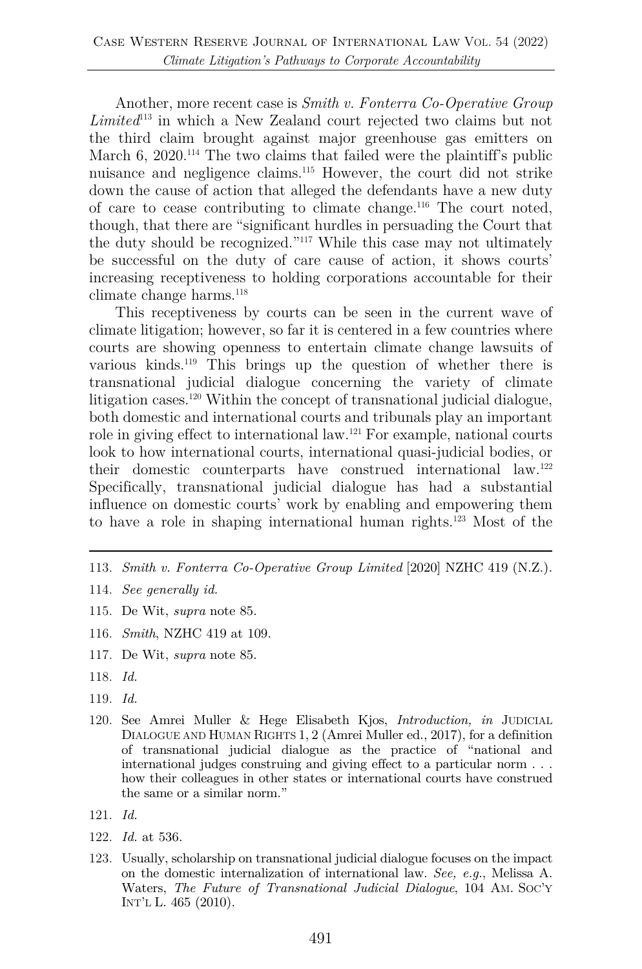Another, more recent case is *Smith v. Fonterra Co-Operative Group Limited*<sup>113</sup> in which a New Zealand court rejected two claims but not the third claim brought against major greenhouse gas emitters on March 6, 2020.<sup>114</sup> The two claims that failed were the plaintiff's public nuisance and negligence claims.115 However, the court did not strike down the cause of action that alleged the defendants have a new duty of care to cease contributing to climate change.<sup>116</sup> The court noted, though, that there are "significant hurdles in persuading the Court that the duty should be recognized."117 While this case may not ultimately be successful on the duty of care cause of action, it shows courts' increasing receptiveness to holding corporations accountable for their climate change harms. 118

This receptiveness by courts can be seen in the current wave of climate litigation; however, so far it is centered in a few countries where courts are showing openness to entertain climate change lawsuits of various kinds.119 This brings up the question of whether there is transnational judicial dialogue concerning the variety of climate litigation cases.120 Within the concept of transnational judicial dialogue, both domestic and international courts and tribunals play an important role in giving effect to international law.121 For example, national courts look to how international courts, international quasi-judicial bodies, or their domestic counterparts have construed international law.122 Specifically, transnational judicial dialogue has had a substantial influence on domestic courts' work by enabling and empowering them to have a role in shaping international human rights.123 Most of the

- 113. *Smith v. Fonterra Co-Operative Group Limited* [2020] NZHC 419 (N.Z.).
- 114. *See generally id.*
- 115. De Wit, *supra* note 85.
- 116. *Smith*, NZHC 419 at 109.
- 117. De Wit, *supra* note 85.
- 118. *Id.*
- 119. *Id.*
- 120. See Amrei Muller & Hege Elisabeth Kjos, *Introduction, in* JUDICIAL DIALOGUE AND HUMAN RIGHTS 1, 2 (Amrei Muller ed., 2017), for a definition of transnational judicial dialogue as the practice of "national and international judges construing and giving effect to a particular norm . . . how their colleagues in other states or international courts have construed the same or a similar norm."
- 121. *Id.*
- 122. *Id.* at 536.
- 123. Usually, scholarship on transnational judicial dialogue focuses on the impact on the domestic internalization of international law. *See, e.g.*, Melissa A. Waters, *The Future of Transnational Judicial Dialogue*, 104 AM. SOC'Y INT'L L. 465 (2010).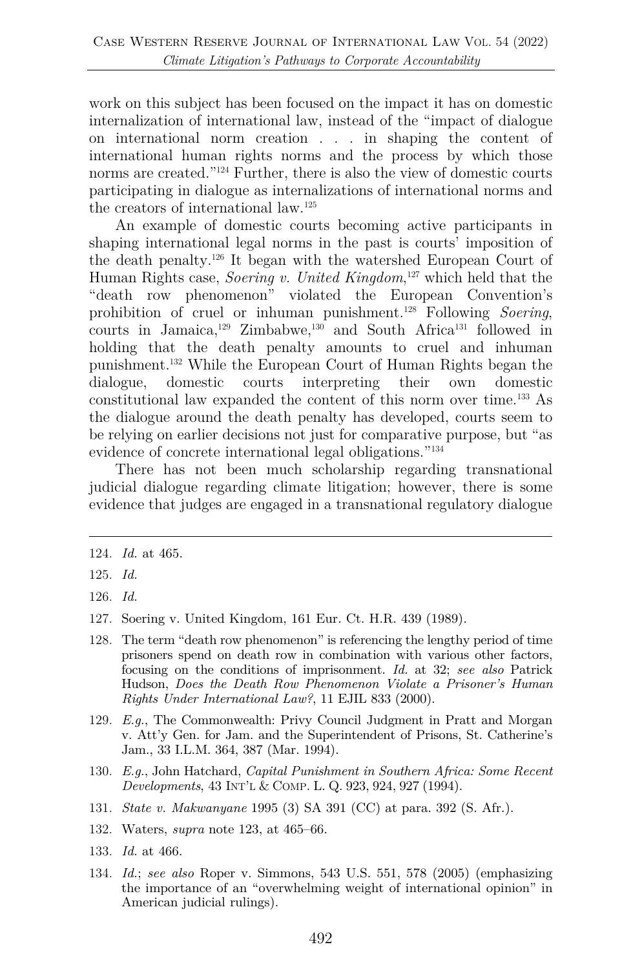work on this subject has been focused on the impact it has on domestic internalization of international law, instead of the "impact of dialogue on international norm creation . . . in shaping the content of international human rights norms and the process by which those norms are created.<sup>"124</sup> Further, there is also the view of domestic courts participating in dialogue as internalizations of international norms and the creators of international law.125

An example of domestic courts becoming active participants in shaping international legal norms in the past is courts' imposition of the death penalty.126 It began with the watershed European Court of Human Rights case, *Soering v. United Kingdom*, <sup>127</sup> which held that the "death row phenomenon" violated the European Convention's prohibition of cruel or inhuman punishment.128 Following *Soering*, courts in Jamaica,<sup>129</sup> Zimbabwe,<sup>130</sup> and South Africa<sup>131</sup> followed in holding that the death penalty amounts to cruel and inhuman punishment.132 While the European Court of Human Rights began the dialogue, domestic courts interpreting their own domestic constitutional law expanded the content of this norm over time.133 As the dialogue around the death penalty has developed, courts seem to be relying on earlier decisions not just for comparative purpose, but "as evidence of concrete international legal obligations."134

There has not been much scholarship regarding transnational judicial dialogue regarding climate litigation; however, there is some evidence that judges are engaged in a transnational regulatory dialogue

- 128. The term "death row phenomenon" is referencing the lengthy period of time prisoners spend on death row in combination with various other factors, focusing on the conditions of imprisonment. *Id.* at 32; *see also* Patrick Hudson, *Does the Death Row Phenomenon Violate a Prisoner's Human Rights Under International Law?*, 11 EJIL 833 (2000).
- 129. *E.g.*, The Commonwealth: Privy Council Judgment in Pratt and Morgan v. Att'y Gen. for Jam. and the Superintendent of Prisons, St. Catherine's Jam., 33 I.L.M. 364, 387 (Mar. 1994).
- 130. *E.g.*, John Hatchard, *Capital Punishment in Southern Africa: Some Recent Developments*, 43 INT'L & COMP. L. Q. 923, 924, 927 (1994).
- 131. *State v. Makwanyane* 1995 (3) SA 391 (CC) at para. 392 (S. Afr.).
- 132. Waters, *supra* note 123, at 465–66.
- 133. *Id.* at 466.
- 134. *Id.*; *see also* Roper v. Simmons, 543 U.S. 551, 578 (2005) (emphasizing the importance of an "overwhelming weight of international opinion" in American judicial rulings).

<sup>124.</sup> *Id.* at 465.

<sup>125.</sup> *Id.*

<sup>126.</sup> *Id.*

<sup>127.</sup> Soering v. United Kingdom, 161 Eur. Ct. H.R. 439 (1989).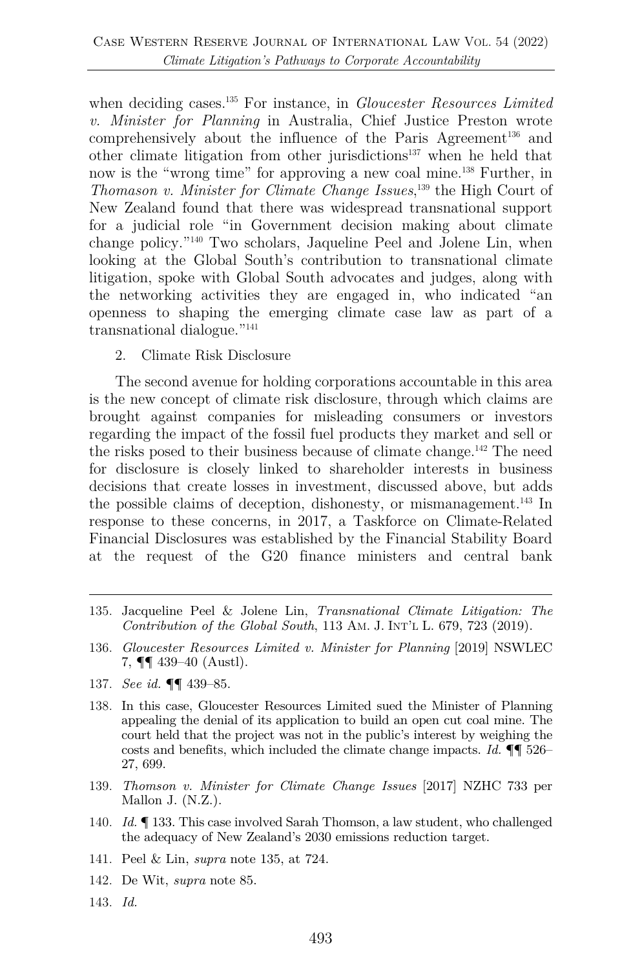when deciding cases.<sup>135</sup> For instance, in *Gloucester Resources Limited v. Minister for Planning* in Australia, Chief Justice Preston wrote comprehensively about the influence of the Paris Agreement<sup>136</sup> and other climate litigation from other jurisdictions<sup>137</sup> when he held that now is the "wrong time" for approving a new coal mine.<sup>138</sup> Further, in *Thomason v. Minister for Climate Change Issues*, <sup>139</sup> the High Court of New Zealand found that there was widespread transnational support for a judicial role "in Government decision making about climate change policy."140 Two scholars, Jaqueline Peel and Jolene Lin, when looking at the Global South's contribution to transnational climate litigation, spoke with Global South advocates and judges, along with the networking activities they are engaged in, who indicated "an openness to shaping the emerging climate case law as part of a transnational dialogue."141

2. Climate Risk Disclosure

The second avenue for holding corporations accountable in this area is the new concept of climate risk disclosure, through which claims are brought against companies for misleading consumers or investors regarding the impact of the fossil fuel products they market and sell or the risks posed to their business because of climate change.142 The need for disclosure is closely linked to shareholder interests in business decisions that create losses in investment, discussed above, but adds the possible claims of deception, dishonesty, or mismanagement.143 In response to these concerns, in 2017, a Taskforce on Climate-Related Financial Disclosures was established by the Financial Stability Board at the request of the G20 finance ministers and central bank

- 135. Jacqueline Peel & Jolene Lin, *Transnational Climate Litigation: The Contribution of the Global South*, 113 AM. J. INT'L L. 679, 723 (2019).
- 136. *Gloucester Resources Limited v. Minister for Planning* [2019] NSWLEC 7, ¶¶ 439–40 (Austl).
- 137. *See id.* ¶¶ 439–85.
- 138. In this case, Gloucester Resources Limited sued the Minister of Planning appealing the denial of its application to build an open cut coal mine. The court held that the project was not in the public's interest by weighing the costs and benefits, which included the climate change impacts. *Id.* ¶¶ 526– 27, 699.
- 139. *Thomson v. Minister for Climate Change Issues* [2017] NZHC 733 per Mallon J. (N.Z.).
- 140. *Id.* ¶ 133. This case involved Sarah Thomson, a law student, who challenged the adequacy of New Zealand's 2030 emissions reduction target.
- 141. Peel & Lin, *supra* note 135, at 724.
- 142. De Wit, *supra* note 85.
- 143. *Id.*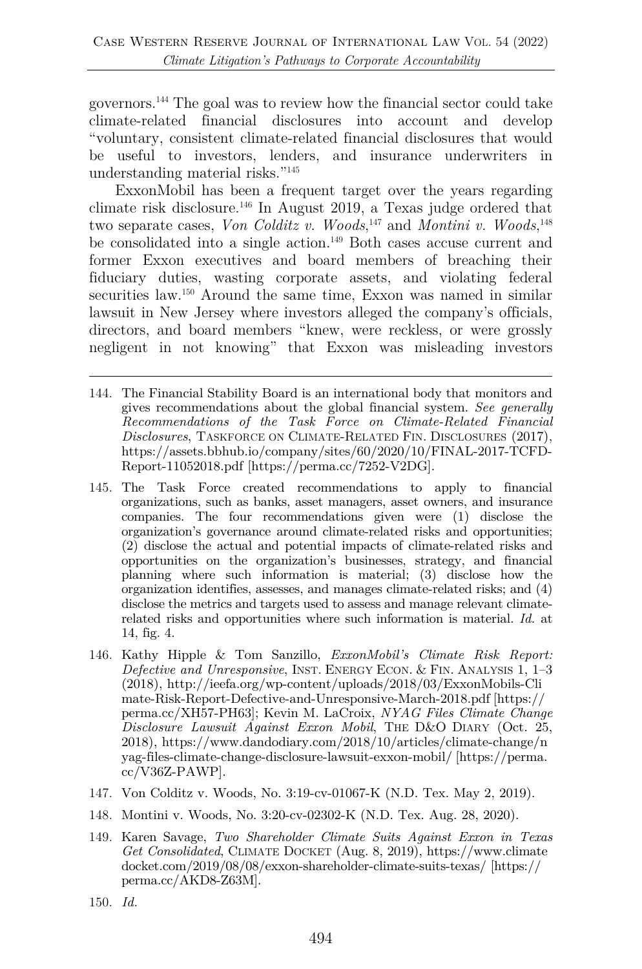governors.144 The goal was to review how the financial sector could take climate-related financial disclosures into account and develop "voluntary, consistent climate-related financial disclosures that would be useful to investors, lenders, and insurance underwriters in understanding material risks."145

ExxonMobil has been a frequent target over the years regarding climate risk disclosure.146 In August 2019, a Texas judge ordered that two separate cases, *Von Colditz v. Woods*,<sup>147</sup> and *Montini v. Woods*,<sup>148</sup> be consolidated into a single action.149 Both cases accuse current and former Exxon executives and board members of breaching their fiduciary duties, wasting corporate assets, and violating federal securities law.<sup>150</sup> Around the same time, Exxon was named in similar lawsuit in New Jersey where investors alleged the company's officials, directors, and board members "knew, were reckless, or were grossly negligent in not knowing" that Exxon was misleading investors

- 144. The Financial Stability Board is an international body that monitors and gives recommendations about the global financial system. *See generally Recommendations of the Task Force on Climate-Related Financial Disclosures*, TASKFORCE ON CLIMATE-RELATED FIN. DISCLOSURES (2017), https://assets.bbhub.io/company/sites/60/2020/10/FINAL-2017-TCFD-Report-11052018.pdf [https://perma.cc/7252-V2DG].
- 145. The Task Force created recommendations to apply to financial organizations, such as banks, asset managers, asset owners, and insurance companies. The four recommendations given were (1) disclose the organization's governance around climate-related risks and opportunities; (2) disclose the actual and potential impacts of climate-related risks and opportunities on the organization's businesses, strategy, and financial planning where such information is material; (3) disclose how the organization identifies, assesses, and manages climate-related risks; and (4) disclose the metrics and targets used to assess and manage relevant climaterelated risks and opportunities where such information is material. *Id.* at 14, fig. 4.
- 146. Kathy Hipple & Tom Sanzillo, *ExxonMobil's Climate Risk Report: Defective and Unresponsive*, INST. ENERGY ECON. & FIN. ANALYSIS 1, 1–3 (2018), http://ieefa.org/wp-content/uploads/2018/03/ExxonMobils-Cli mate-Risk-Report-Defective-and-Unresponsive-March-2018.pdf [https:// perma.cc/XH57-PH63]; Kevin M. LaCroix, *NYAG Files Climate Change Disclosure Lawsuit Against Exxon Mobil*, THE D&O DIARY (Oct. 25, 2018), https://www.dandodiary.com/2018/10/articles/climate-change/n yag-files-climate-change-disclosure-lawsuit-exxon-mobil/ [https://perma. cc/V36Z-PAWP].
- 147. Von Colditz v. Woods, No. 3:19-cv-01067-K (N.D. Tex. May 2, 2019).
- 148. Montini v. Woods, No. 3:20-cv-02302-K (N.D. Tex. Aug. 28, 2020).
- 149. Karen Savage, *Two Shareholder Climate Suits Against Exxon in Texas Get Consolidated*, CLIMATE DOCKET (Aug. 8, 2019), https://www.climate docket.com/2019/08/08/exxon-shareholder-climate-suits-texas/ [https:// perma.cc/AKD8-Z63M].
- 150. *Id.*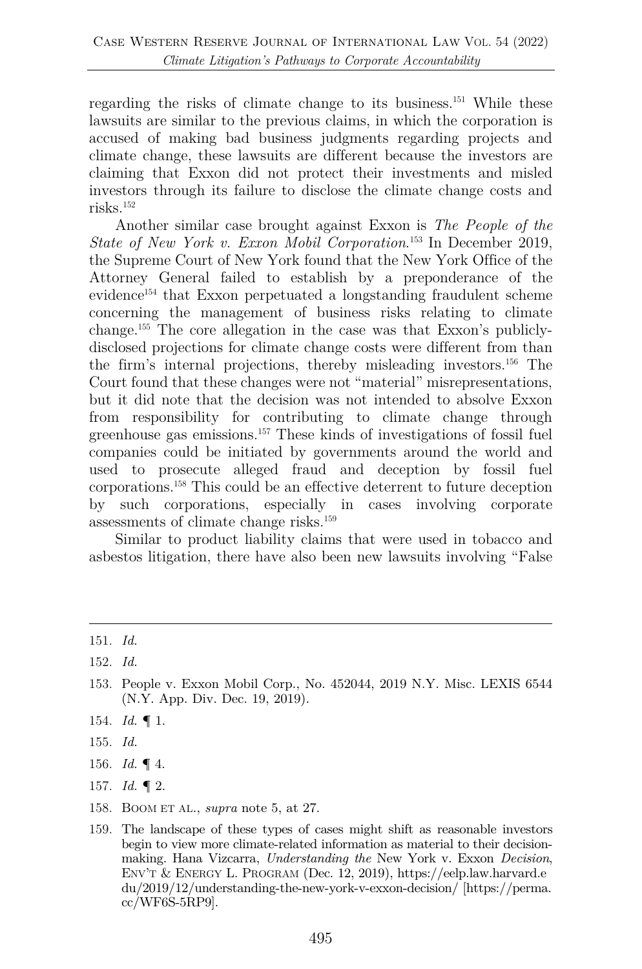regarding the risks of climate change to its business.151 While these lawsuits are similar to the previous claims, in which the corporation is accused of making bad business judgments regarding projects and climate change, these lawsuits are different because the investors are claiming that Exxon did not protect their investments and misled investors through its failure to disclose the climate change costs and risks.152

Another similar case brought against Exxon is *The People of the State of New York v. Exxon Mobil Corporation*. <sup>153</sup> In December 2019, the Supreme Court of New York found that the New York Office of the Attorney General failed to establish by a preponderance of the evidence154 that Exxon perpetuated a longstanding fraudulent scheme concerning the management of business risks relating to climate change.155 The core allegation in the case was that Exxon's publiclydisclosed projections for climate change costs were different from than the firm's internal projections, thereby misleading investors.156 The Court found that these changes were not "material" misrepresentations, but it did note that the decision was not intended to absolve Exxon from responsibility for contributing to climate change through greenhouse gas emissions. <sup>157</sup> These kinds of investigations of fossil fuel companies could be initiated by governments around the world and used to prosecute alleged fraud and deception by fossil fuel corporations.158 This could be an effective deterrent to future deception by such corporations, especially in cases involving corporate assessments of climate change risks.159

Similar to product liability claims that were used in tobacco and asbestos litigation, there have also been new lawsuits involving "False

- 154. *Id.* ¶ 1.
- 155. *Id.*
- 156. *Id.* ¶ 4.
- 157. *Id.* ¶ 2.
- 158. BOOM ET AL., *supra* note 5, at 27.
- 159. The landscape of these types of cases might shift as reasonable investors begin to view more climate-related information as material to their decisionmaking. Hana Vizcarra, *Understanding the* New York v. Exxon *Decision*, ENV'T & ENERGY L. PROGRAM (Dec. 12, 2019), https://eelp.law.harvard.e du/2019/12/understanding-the-new-york-v-exxon-decision/ [https://perma. cc/WF6S-5RP9].

<sup>151.</sup> *Id.*

<sup>152.</sup> *Id.*

<sup>153.</sup> People v. Exxon Mobil Corp., No. 452044, 2019 N.Y. Misc. LEXIS 6544 (N.Y. App. Div. Dec. 19, 2019).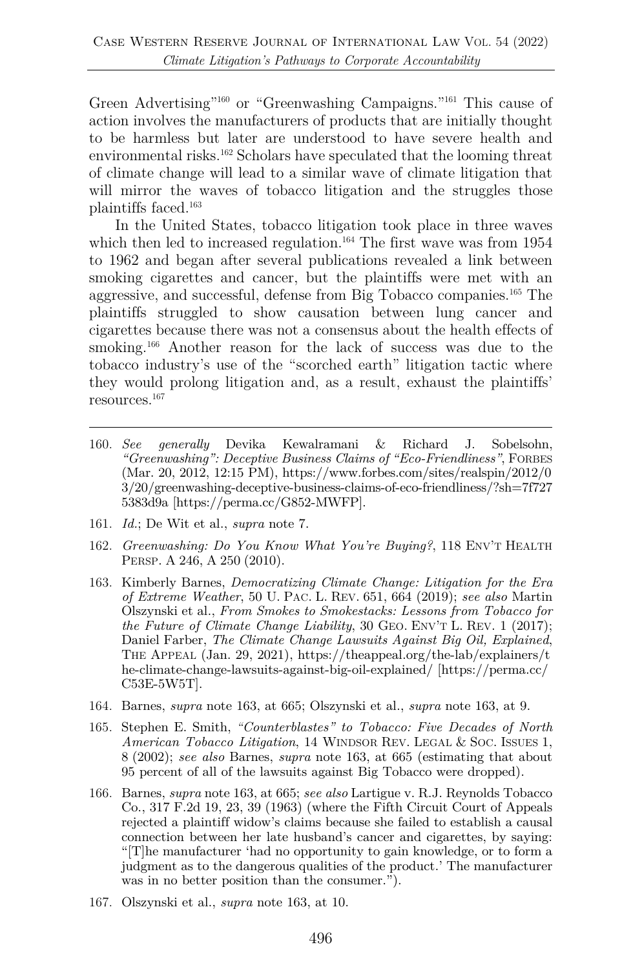Green Advertising"160 or "Greenwashing Campaigns."161 This cause of action involves the manufacturers of products that are initially thought to be harmless but later are understood to have severe health and environmental risks.<sup>162</sup> Scholars have speculated that the looming threat of climate change will lead to a similar wave of climate litigation that will mirror the waves of tobacco litigation and the struggles those plaintiffs faced.163

In the United States, tobacco litigation took place in three waves which then led to increased regulation.<sup>164</sup> The first wave was from  $1954$ to 1962 and began after several publications revealed a link between smoking cigarettes and cancer, but the plaintiffs were met with an aggressive, and successful, defense from Big Tobacco companies. <sup>165</sup> The plaintiffs struggled to show causation between lung cancer and cigarettes because there was not a consensus about the health effects of smoking.<sup>166</sup> Another reason for the lack of success was due to the tobacco industry's use of the "scorched earth" litigation tactic where they would prolong litigation and, as a result, exhaust the plaintiffs' resources.167

- 160. *See generally* Devika Kewalramani & Richard J. Sobelsohn, *"Greenwashing": Deceptive Business Claims of "Eco-Friendliness"*, FORBES (Mar. 20, 2012, 12:15 PM), https://www.forbes.com/sites/realspin/2012/0 3/20/greenwashing-deceptive-business-claims-of-eco-friendliness/?sh=7f727 5383d9a [https://perma.cc/G852-MWFP].
- 161. *Id.*; De Wit et al., *supra* note 7.
- 162. *Greenwashing: Do You Know What You're Buying?*, 118 ENV'T HEALTH PERSP. A 246, A 250 (2010).
- 163. Kimberly Barnes, *Democratizing Climate Change: Litigation for the Era of Extreme Weather*, 50 U. PAC. L. REV. 651, 664 (2019); *see also* Martin Olszynski et al., *From Smokes to Smokestacks: Lessons from Tobacco for the Future of Climate Change Liability*, 30 GEO. ENV'T L. REV. 1 (2017); Daniel Farber, *The Climate Change Lawsuits Against Big Oil, Explained*, THE APPEAL (Jan. 29, 2021), https://theappeal.org/the-lab/explainers/t he-climate-change-lawsuits-against-big-oil-explained/ [https://perma.cc/ C53E-5W5T].
- 164. Barnes, *supra* note 163, at 665; Olszynski et al., *supra* note 163, at 9.
- 165. Stephen E. Smith, *"Counterblastes" to Tobacco: Five Decades of North American Tobacco Litigation*, 14 WINDSOR REV. LEGAL & SOC. ISSUES 1, 8 (2002); *see also* Barnes, *supra* note 163, at 665 (estimating that about 95 percent of all of the lawsuits against Big Tobacco were dropped).
- 166. Barnes, *supra* note 163, at 665; *see also* Lartigue v. R.J. Reynolds Tobacco Co., 317 F.2d 19, 23, 39 (1963) (where the Fifth Circuit Court of Appeals rejected a plaintiff widow's claims because she failed to establish a causal connection between her late husband's cancer and cigarettes, by saying: "[T]he manufacturer 'had no opportunity to gain knowledge, or to form a judgment as to the dangerous qualities of the product.' The manufacturer was in no better position than the consumer.").
- 167. Olszynski et al., *supra* note 163, at 10.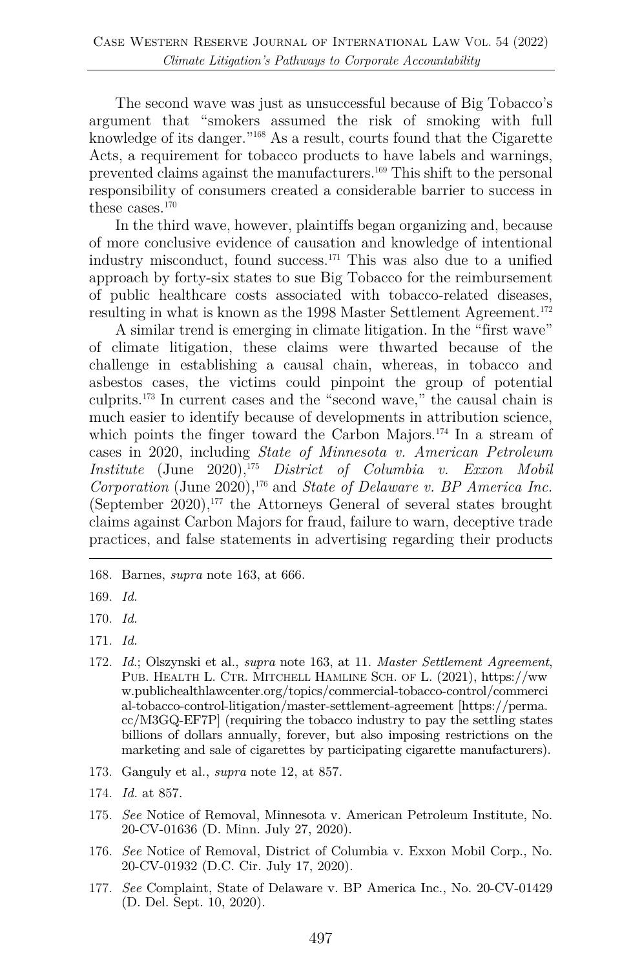The second wave was just as unsuccessful because of Big Tobacco's argument that "smokers assumed the risk of smoking with full knowledge of its danger."168 As a result, courts found that the Cigarette Acts, a requirement for tobacco products to have labels and warnings, prevented claims against the manufacturers.169 This shift to the personal responsibility of consumers created a considerable barrier to success in these cases. $170$ 

In the third wave, however, plaintiffs began organizing and, because of more conclusive evidence of causation and knowledge of intentional industry misconduct, found success.171 This was also due to a unified approach by forty-six states to sue Big Tobacco for the reimbursement of public healthcare costs associated with tobacco-related diseases, resulting in what is known as the 1998 Master Settlement Agreement.<sup>172</sup>

A similar trend is emerging in climate litigation. In the "first wave" of climate litigation, these claims were thwarted because of the challenge in establishing a causal chain, whereas, in tobacco and asbestos cases, the victims could pinpoint the group of potential culprits.173 In current cases and the "second wave," the causal chain is much easier to identify because of developments in attribution science, which points the finger toward the Carbon Majors.<sup>174</sup> In a stream of cases in 2020, including *State of Minnesota v. American Petroleum Institute* (June 2020),175 *District of Columbia v. Exxon Mobil Corporation* (June 2020),176 and *State of Delaware v. BP America Inc.* (September  $2020$ ),<sup>177</sup> the Attorneys General of several states brought claims against Carbon Majors for fraud, failure to warn, deceptive trade practices, and false statements in advertising regarding their products

- 175. *See* Notice of Removal, Minnesota v. American Petroleum Institute, No. 20-CV-01636 (D. Minn. July 27, 2020).
- 176. *See* Notice of Removal, District of Columbia v. Exxon Mobil Corp., No. 20-CV-01932 (D.C. Cir. July 17, 2020).
- 177. *See* Complaint, State of Delaware v. BP America Inc., No. 20-CV-01429 (D. Del. Sept. 10, 2020).

<sup>168.</sup> Barnes, *supra* note 163, at 666.

<sup>169.</sup> *Id.*

<sup>170.</sup> *Id.*

<sup>171.</sup> *Id.*

<sup>172.</sup> *Id.*; Olszynski et al., *supra* note 163, at 11. *Master Settlement Agreement*, PUB. HEALTH L. CTR. MITCHELL HAMLINE SCH. OF L. (2021), https://ww w.publichealthlawcenter.org/topics/commercial-tobacco-control/commerci al-tobacco-control-litigation/master-settlement-agreement [https://perma. cc/M3GQ-EF7P] (requiring the tobacco industry to pay the settling states billions of dollars annually, forever, but also imposing restrictions on the marketing and sale of cigarettes by participating cigarette manufacturers).

<sup>173.</sup> Ganguly et al., *supra* note 12, at 857.

<sup>174.</sup> *Id.* at 857.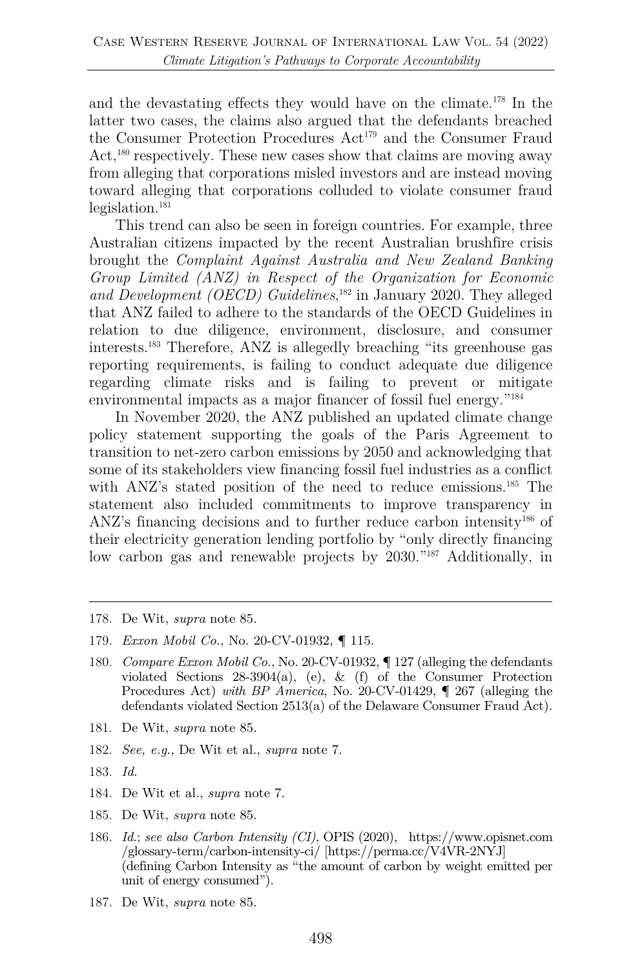and the devastating effects they would have on the climate.178 In the latter two cases, the claims also argued that the defendants breached the Consumer Protection Procedures Act<sup>179</sup> and the Consumer Fraud Act,<sup>180</sup> respectively. These new cases show that claims are moving away from alleging that corporations misled investors and are instead moving toward alleging that corporations colluded to violate consumer fraud legislation.181

This trend can also be seen in foreign countries. For example, three Australian citizens impacted by the recent Australian brushfire crisis brought the *Complaint Against Australia and New Zealand Banking Group Limited (ANZ) in Respect of the Organization for Economic*  and Development *(OECD)* Guidelines,<sup>182</sup> in January 2020. They alleged that ANZ failed to adhere to the standards of the OECD Guidelines in relation to due diligence, environment, disclosure, and consumer interests.183 Therefore, ANZ is allegedly breaching "its greenhouse gas reporting requirements, is failing to conduct adequate due diligence regarding climate risks and is failing to prevent or mitigate environmental impacts as a major financer of fossil fuel energy.<sup>"184</sup>

In November 2020, the ANZ published an updated climate change policy statement supporting the goals of the Paris Agreement to transition to net-zero carbon emissions by 2050 and acknowledging that some of its stakeholders view financing fossil fuel industries as a conflict with ANZ's stated position of the need to reduce emissions.<sup>185</sup> The statement also included commitments to improve transparency in ANZ's financing decisions and to further reduce carbon intensity<sup>186</sup> of their electricity generation lending portfolio by "only directly financing low carbon gas and renewable projects by 2030."187 Additionally, in

- 180. *Compare Exxon Mobil Co.*, No. 20-CV-01932, ¶ 127 (alleging the defendants violated Sections 28-3904(a), (e), & (f) of the Consumer Protection Procedures Act) *with BP America*, No. 20-CV-01429, ¶ 267 (alleging the defendants violated Section 2513(a) of the Delaware Consumer Fraud Act).
- 181. De Wit, *supra* note 85.
- 182. *See, e.g*., De Wit et al., *supra* note 7.
- 183. *Id.*
- 184. De Wit et al., *supra* note 7.
- 185. De Wit, *supra* note 85.
- 186. *Id.*; *see also Carbon Intensity (CI)*, OPIS (2020), https://www.opisnet.com /glossary-term/carbon-intensity-ci/ [https://perma.cc/V4VR-2NYJ] (defining Carbon Intensity as "the amount of carbon by weight emitted per unit of energy consumed").
- 187. De Wit, *supra* note 85.

<sup>178.</sup> De Wit, *supra* note 85.

<sup>179.</sup> *Exxon Mobil Co.*, No. 20-CV-01932, ¶ 115.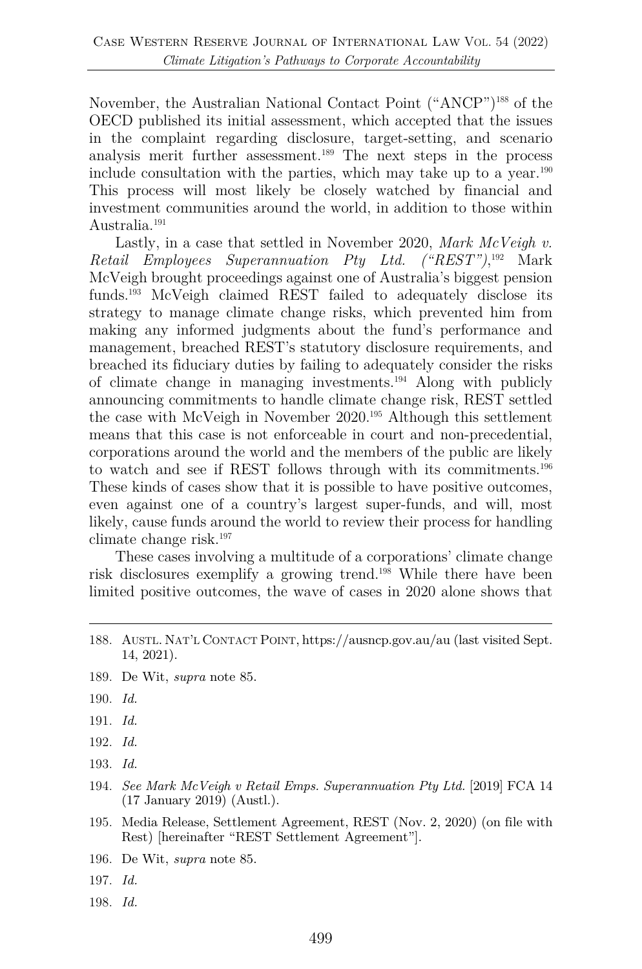November, the Australian National Contact Point ("ANCP")188 of the OECD published its initial assessment, which accepted that the issues in the complaint regarding disclosure, target-setting, and scenario analysis merit further assessment.189 The next steps in the process include consultation with the parties, which may take up to a year.<sup>190</sup> This process will most likely be closely watched by financial and investment communities around the world, in addition to those within Australia.191

Lastly, in a case that settled in November 2020, *Mark McVeigh v. Retail Employees Superannuation Pty Ltd. ("REST")*, <sup>192</sup> Mark McVeigh brought proceedings against one of Australia's biggest pension funds. <sup>193</sup> McVeigh claimed REST failed to adequately disclose its strategy to manage climate change risks, which prevented him from making any informed judgments about the fund's performance and management, breached REST's statutory disclosure requirements, and breached its fiduciary duties by failing to adequately consider the risks of climate change in managing investments.194 Along with publicly announcing commitments to handle climate change risk, REST settled the case with McVeigh in November 2020.195 Although this settlement means that this case is not enforceable in court and non-precedential, corporations around the world and the members of the public are likely to watch and see if REST follows through with its commitments.196 These kinds of cases show that it is possible to have positive outcomes, even against one of a country's largest super-funds, and will, most likely, cause funds around the world to review their process for handling climate change risk.197

These cases involving a multitude of a corporations' climate change risk disclosures exemplify a growing trend.198 While there have been limited positive outcomes, the wave of cases in 2020 alone shows that

- 189. De Wit, *supra* note 85.
- 190. *Id.*
- 191. *Id.*
- 192. *Id.*
- 193. *Id.*
- 194. *See Mark McVeigh v Retail Emps. Superannuation Pty Ltd.* [2019] FCA 14 (17 January 2019) (Austl.).
- 195. Media Release, Settlement Agreement, REST (Nov. 2, 2020) (on file with Rest) [hereinafter "REST Settlement Agreement"].
- 196. De Wit, *supra* note 85.
- 197. *Id.*
- 198. *Id.*

<sup>188.</sup> AUSTL. NAT'L CONTACT POINT, https://ausncp.gov.au/au (last visited Sept. 14, 2021).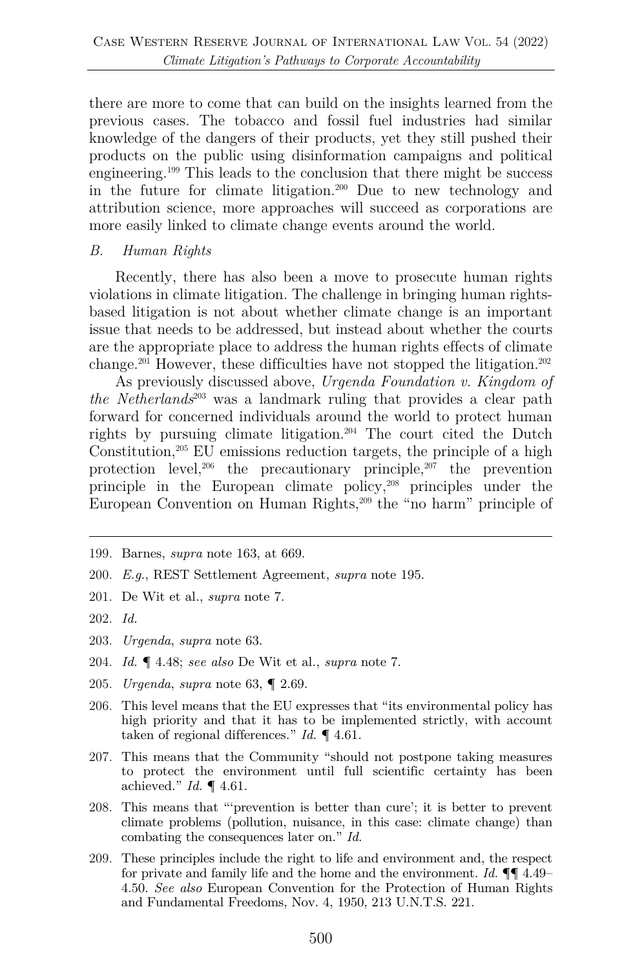there are more to come that can build on the insights learned from the previous cases. The tobacco and fossil fuel industries had similar knowledge of the dangers of their products, yet they still pushed their products on the public using disinformation campaigns and political engineering. <sup>199</sup> This leads to the conclusion that there might be success in the future for climate litigation.200 Due to new technology and attribution science, more approaches will succeed as corporations are more easily linked to climate change events around the world.

#### *B. Human Rights*

Recently, there has also been a move to prosecute human rights violations in climate litigation. The challenge in bringing human rightsbased litigation is not about whether climate change is an important issue that needs to be addressed, but instead about whether the courts are the appropriate place to address the human rights effects of climate change.201 However, these difficulties have not stopped the litigation. 202

As previously discussed above, *Urgenda Foundation v. Kingdom of the Netherlands*<sup>203</sup> was a landmark ruling that provides a clear path forward for concerned individuals around the world to protect human rights by pursuing climate litigation.204 The court cited the Dutch Constitution, $205$  EU emissions reduction targets, the principle of a high protection level,206 the precautionary principle,207 the prevention principle in the European climate policy,208 principles under the European Convention on Human Rights,209 the "no harm" principle of

- 200. *E.g.*, REST Settlement Agreement, *supra* note 195.
- 201. De Wit et al., *supra* note 7.

- 203. *Urgenda*, *supra* note 63.
- 204. *Id.* ¶ 4.48; *see also* De Wit et al., *supra* note 7.
- 205. *Urgenda*, *supra* note 63, ¶ 2.69.
- 206. This level means that the EU expresses that "its environmental policy has high priority and that it has to be implemented strictly, with account taken of regional differences." *Id.* ¶ 4.61.
- 207. This means that the Community "should not postpone taking measures to protect the environment until full scientific certainty has been achieved." *Id.* ¶ 4.61.
- 208. This means that "'prevention is better than cure'; it is better to prevent climate problems (pollution, nuisance, in this case: climate change) than combating the consequences later on." *Id.*
- 209. These principles include the right to life and environment and, the respect for private and family life and the home and the environment. *Id.* ¶¶ 4.49– 4.50. *See also* European Convention for the Protection of Human Rights and Fundamental Freedoms, Nov. 4, 1950, 213 U.N.T.S. 221.

<sup>199.</sup> Barnes, *supra* note 163, at 669.

<sup>202.</sup> *Id.*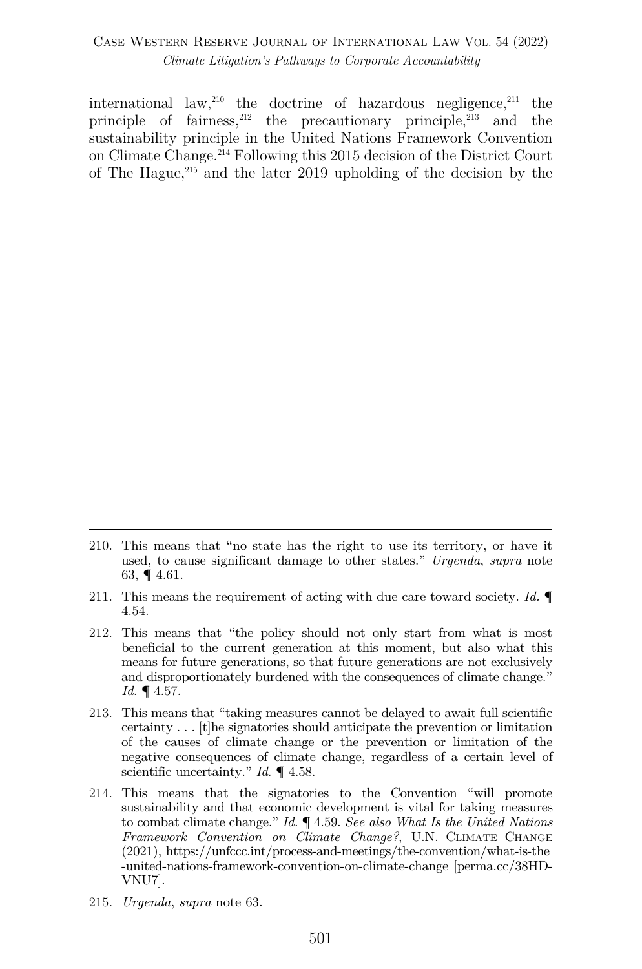international law,  $210$  the doctrine of hazardous negligence,  $211$  the principle of fairness,  $212$  the precautionary principle,  $213$  and the sustainability principle in the United Nations Framework Convention on Climate Change. <sup>214</sup> Following this 2015 decision of the District Court of The Hague, $^{215}$  and the later 2019 upholding of the decision by the

- 211. This means the requirement of acting with due care toward society. *Id.* ¶ 4.54.
- 212. This means that "the policy should not only start from what is most beneficial to the current generation at this moment, but also what this means for future generations, so that future generations are not exclusively and disproportionately burdened with the consequences of climate change." *Id.* ¶ 4.57.
- 213. This means that "taking measures cannot be delayed to await full scientific certainty . . . [t]he signatories should anticipate the prevention or limitation of the causes of climate change or the prevention or limitation of the negative consequences of climate change, regardless of a certain level of scientific uncertainty." *Id.* ¶ 4.58.
- 214. This means that the signatories to the Convention "will promote sustainability and that economic development is vital for taking measures to combat climate change." *Id.* ¶ 4.59. *See also What Is the United Nations Framework Convention on Climate Change?*, U.N. CLIMATE CHANGE (2021), https://unfccc.int/process-and-meetings/the-convention/what-is-the -united-nations-framework-convention-on-climate-change [perma.cc/38HD-VNU7].
- 215. *Urgenda*, *supra* note 63.

<sup>210.</sup> This means that "no state has the right to use its territory, or have it used, to cause significant damage to other states." *Urgenda*, *supra* note 63, ¶ 4.61.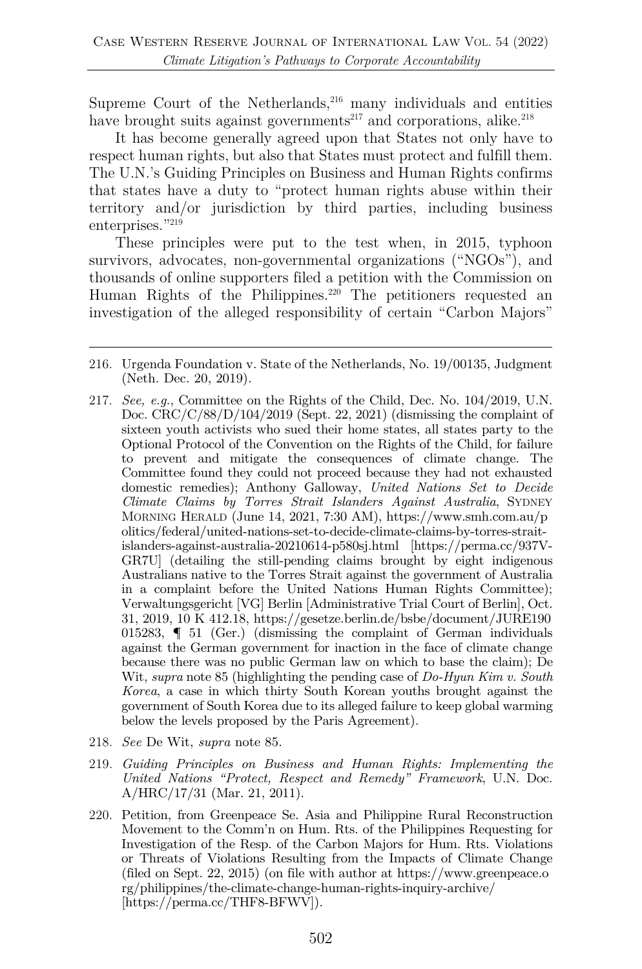Supreme Court of the Netherlands,  $^{216}$  many individuals and entities have brought suits against governments<sup>217</sup> and corporations, alike.<sup>218</sup>

It has become generally agreed upon that States not only have to respect human rights, but also that States must protect and fulfill them. The U.N.'s Guiding Principles on Business and Human Rights confirms that states have a duty to "protect human rights abuse within their territory and/or jurisdiction by third parties, including business enterprises."<sup>219</sup>

These principles were put to the test when, in 2015, typhoon survivors, advocates, non-governmental organizations ("NGOs"), and thousands of online supporters filed a petition with the Commission on Human Rights of the Philippines.<sup>220</sup> The petitioners requested an investigation of the alleged responsibility of certain "Carbon Majors"

- 218. *See* De Wit, *supra* note 85.
- 219. *Guiding Principles on Business and Human Rights: Implementing the United Nations "Protect, Respect and Remedy" Framework*, U.N. Doc. A/HRC/17/31 (Mar. 21, 2011).
- 220. Petition, from Greenpeace Se. Asia and Philippine Rural Reconstruction Movement to the Comm'n on Hum. Rts. of the Philippines Requesting for Investigation of the Resp. of the Carbon Majors for Hum. Rts. Violations or Threats of Violations Resulting from the Impacts of Climate Change (filed on Sept. 22, 2015) (on file with author at https://www.greenpeace.o rg/philippines/the-climate-change-human-rights-inquiry-archive/ [https://perma.cc/THF8-BFWV]).

<sup>216.</sup> Urgenda Foundation v. State of the Netherlands, No. 19/00135, Judgment (Neth. Dec. 20, 2019).

<sup>217.</sup> *See, e.g.*, Committee on the Rights of the Child, Dec. No. 104/2019, U.N. Doc. CRC/C/88/D/104/2019 (Sept. 22, 2021) (dismissing the complaint of sixteen youth activists who sued their home states, all states party to the Optional Protocol of the Convention on the Rights of the Child, for failure to prevent and mitigate the consequences of climate change. The Committee found they could not proceed because they had not exhausted domestic remedies); Anthony Galloway, *United Nations Set to Decide Climate Claims by Torres Strait Islanders Against Australia*, SYDNEY MORNING HERALD (June 14, 2021, 7:30 AM), https://www.smh.com.au/p olitics/federal/united-nations-set-to-decide-climate-claims-by-torres-straitislanders-against-australia-20210614-p580sj.html [https://perma.cc/937V-GR7U] (detailing the still-pending claims brought by eight indigenous Australians native to the Torres Strait against the government of Australia in a complaint before the United Nations Human Rights Committee); Verwaltungsgericht [VG] Berlin [Administrative Trial Court of Berlin], Oct. 31, 2019, 10 K 412.18, https://gesetze.berlin.de/bsbe/document/JURE190 015283, ¶ 51 (Ger.) (dismissing the complaint of German individuals against the German government for inaction in the face of climate change because there was no public German law on which to base the claim); De Wit, *supra* note 85 (highlighting the pending case of *Do-Hyun Kim v. South Korea*, a case in which thirty South Korean youths brought against the government of South Korea due to its alleged failure to keep global warming below the levels proposed by the Paris Agreement).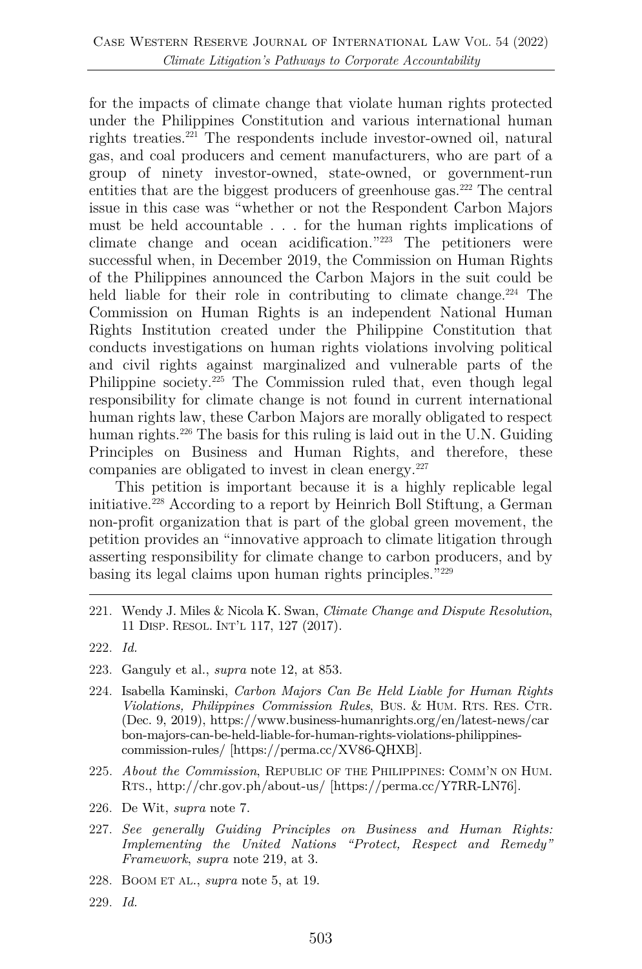for the impacts of climate change that violate human rights protected under the Philippines Constitution and various international human rights treaties.221 The respondents include investor-owned oil, natural gas, and coal producers and cement manufacturers, who are part of a group of ninety investor-owned, state-owned, or government-run entities that are the biggest producers of greenhouse gas.<sup>222</sup> The central issue in this case was "whether or not the Respondent Carbon Majors must be held accountable . . . for the human rights implications of climate change and ocean acidification."223 The petitioners were successful when, in December 2019, the Commission on Human Rights of the Philippines announced the Carbon Majors in the suit could be held liable for their role in contributing to climate change.<sup>224</sup> The Commission on Human Rights is an independent National Human Rights Institution created under the Philippine Constitution that conducts investigations on human rights violations involving political and civil rights against marginalized and vulnerable parts of the Philippine society.225 The Commission ruled that, even though legal responsibility for climate change is not found in current international human rights law, these Carbon Majors are morally obligated to respect human rights.<sup>226</sup> The basis for this ruling is laid out in the U.N. Guiding Principles on Business and Human Rights, and therefore, these companies are obligated to invest in clean energy.227

This petition is important because it is a highly replicable legal initiative.228 According to a report by Heinrich Boll Stiftung, a German non-profit organization that is part of the global green movement, the petition provides an "innovative approach to climate litigation through asserting responsibility for climate change to carbon producers, and by basing its legal claims upon human rights principles."229

- 224. Isabella Kaminski, *Carbon Majors Can Be Held Liable for Human Rights Violations, Philippines Commission Rules*, BUS. & HUM. RTS. RES. CTR. (Dec. 9, 2019), https://www.business-humanrights.org/en/latest-news/car bon-majors-can-be-held-liable-for-human-rights-violations-philippinescommission-rules/ [https://perma.cc/XV86-QHXB].
- 225. *About the Commission*, REPUBLIC OF THE PHILIPPINES: COMM'N ON HUM. RTS., http://chr.gov.ph/about-us/ [https://perma.cc/Y7RR-LN76].
- 226. De Wit, *supra* note 7.
- 227. *See generally Guiding Principles on Business and Human Rights: Implementing the United Nations "Protect, Respect and Remedy" Framework*, *supra* note 219, at 3.
- 228. BOOM ET AL., *supra* note 5, at 19.
- 229. *Id.*

<sup>221.</sup> Wendy J. Miles & Nicola K. Swan, *Climate Change and Dispute Resolution*, 11 DISP. RESOL. INT'L 117, 127 (2017).

<sup>222.</sup> *Id.*

<sup>223.</sup> Ganguly et al., *supra* note 12, at 853.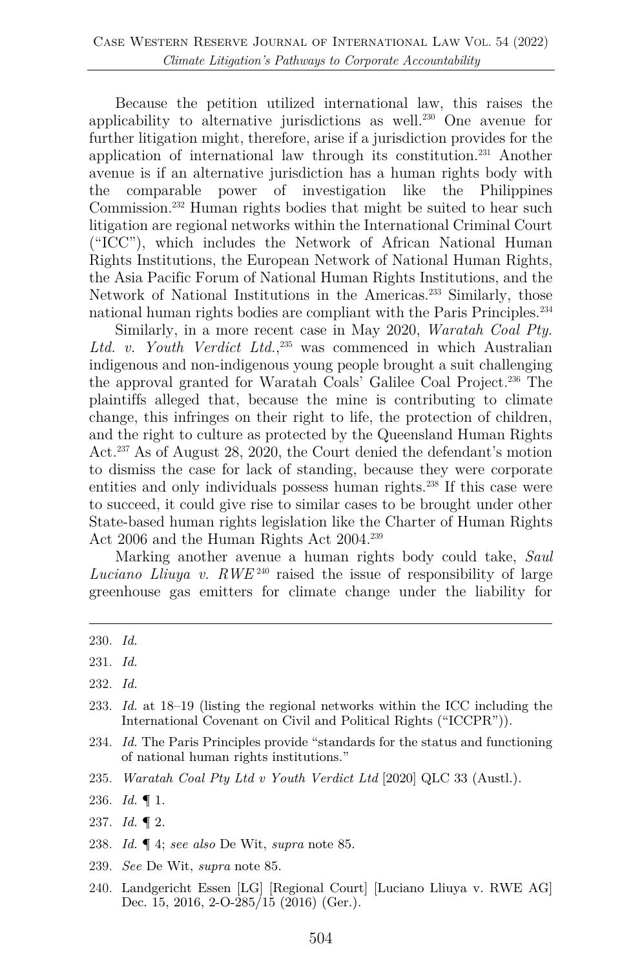Because the petition utilized international law, this raises the applicability to alternative jurisdictions as well.230 One avenue for further litigation might, therefore, arise if a jurisdiction provides for the application of international law through its constitution.231 Another avenue is if an alternative jurisdiction has a human rights body with the comparable power of investigation like the Philippines Commission.232 Human rights bodies that might be suited to hear such litigation are regional networks within the International Criminal Court ("ICC"), which includes the Network of African National Human Rights Institutions, the European Network of National Human Rights, the Asia Pacific Forum of National Human Rights Institutions, and the Network of National Institutions in the Americas.233 Similarly, those national human rights bodies are compliant with the Paris Principles. 234

Similarly, in a more recent case in May 2020, *Waratah Coal Pty.*  Ltd. v. Youth Verdict Ltd.,<sup>235</sup> was commenced in which Australian indigenous and non-indigenous young people brought a suit challenging the approval granted for Waratah Coals' Galilee Coal Project.236 The plaintiffs alleged that, because the mine is contributing to climate change, this infringes on their right to life, the protection of children, and the right to culture as protected by the Queensland Human Rights Act.237 As of August 28, 2020, the Court denied the defendant's motion to dismiss the case for lack of standing, because they were corporate entities and only individuals possess human rights.238 If this case were to succeed, it could give rise to similar cases to be brought under other State-based human rights legislation like the Charter of Human Rights Act 2006 and the Human Rights Act 2004. 239

Marking another avenue a human rights body could take, *Saul Luciano Lliuya v. RWE*<sup>240</sup> raised the issue of responsibility of large greenhouse gas emitters for climate change under the liability for

- 233. *Id.* at 18–19 (listing the regional networks within the ICC including the International Covenant on Civil and Political Rights ("ICCPR")).
- 234. *Id.* The Paris Principles provide "standards for the status and functioning of national human rights institutions."
- 235. *Waratah Coal Pty Ltd v Youth Verdict Ltd* [2020] QLC 33 (Austl.).

- 238. *Id.* ¶ 4; *see also* De Wit, *supra* note 85.
- 239. *See* De Wit, *supra* note 85.
- 240. Landgericht Essen [LG] [Regional Court] [Luciano Lliuya v. RWE AG] Dec. 15, 2016, 2-O-285/15 (2016) (Ger.).

<sup>230.</sup> *Id.*

<sup>231.</sup> *Id.*

<sup>232.</sup> *Id.*

<sup>236.</sup> *Id.* ¶ 1.

<sup>237.</sup> *Id.* ¶ 2.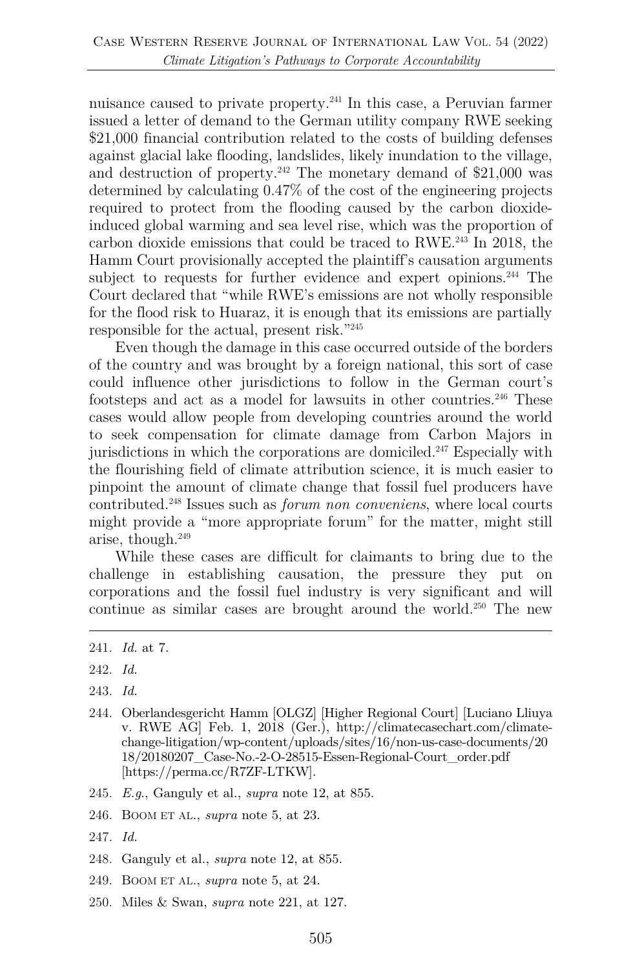nuisance caused to private property.241 In this case, a Peruvian farmer issued a letter of demand to the German utility company RWE seeking \$21,000 financial contribution related to the costs of building defenses against glacial lake flooding, landslides, likely inundation to the village, and destruction of property.<sup>242</sup> The monetary demand of  $$21,000$  was determined by calculating 0.47% of the cost of the engineering projects required to protect from the flooding caused by the carbon dioxideinduced global warming and sea level rise, which was the proportion of carbon dioxide emissions that could be traced to RWE.243 In 2018, the Hamm Court provisionally accepted the plaintiff's causation arguments subject to requests for further evidence and expert opinions.<sup>244</sup> The Court declared that "while RWE's emissions are not wholly responsible for the flood risk to Huaraz, it is enough that its emissions are partially responsible for the actual, present risk."245

Even though the damage in this case occurred outside of the borders of the country and was brought by a foreign national, this sort of case could influence other jurisdictions to follow in the German court's footsteps and act as a model for lawsuits in other countries.<sup>246</sup> These cases would allow people from developing countries around the world to seek compensation for climate damage from Carbon Majors in jurisdictions in which the corporations are domiciled.<sup>247</sup> Especially with the flourishing field of climate attribution science, it is much easier to pinpoint the amount of climate change that fossil fuel producers have contributed.248 Issues such as *forum non conveniens*, where local courts might provide a "more appropriate forum" for the matter, might still arise, though. 249

While these cases are difficult for claimants to bring due to the challenge in establishing causation, the pressure they put on corporations and the fossil fuel industry is very significant and will continue as similar cases are brought around the world.250 The new

- 244. Oberlandesgericht Hamm [OLGZ] [Higher Regional Court] [Luciano Lliuya v. RWE AG] Feb. 1, 2018 (Ger.), http://climatecasechart.com/climatechange-litigation/wp-content/uploads/sites/16/non-us-case-documents/20 18/20180207\_Case-No.-2-O-28515-Essen-Regional-Court\_order.pdf [https://perma.cc/R7ZF-LTKW].
- 245. *E.g*., Ganguly et al., *supra* note 12, at 855.
- 246. BOOM ET AL., *supra* note 5, at 23.
- 247. *Id.*
- 248. Ganguly et al., *supra* note 12, at 855.
- 249. BOOM ET AL., *supra* note 5, at 24.
- 250. Miles & Swan, *supra* note 221, at 127.

<sup>241.</sup> *Id.* at 7.

<sup>242.</sup> *Id.*

<sup>243.</sup> *Id.*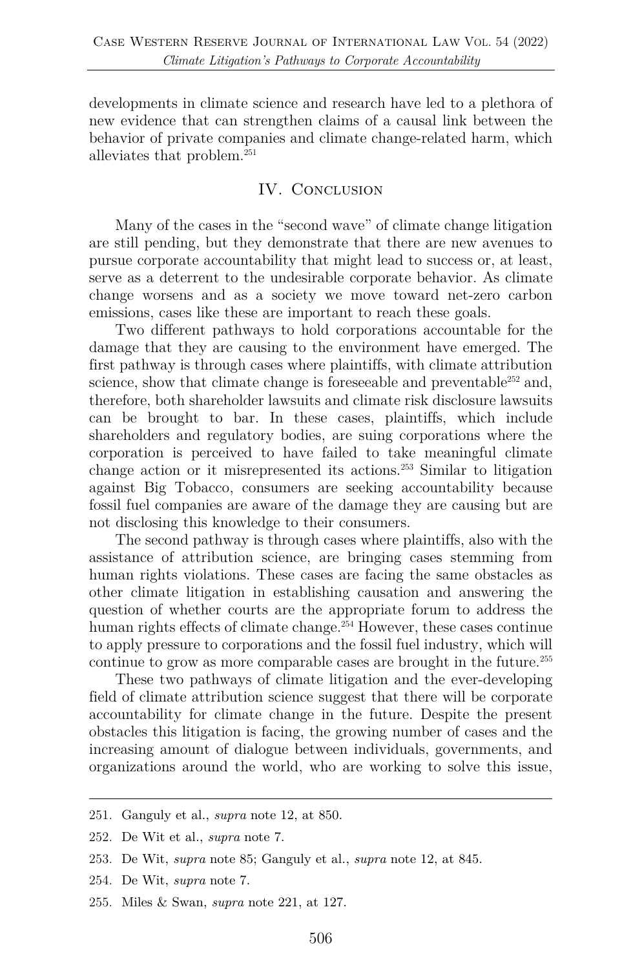developments in climate science and research have led to a plethora of new evidence that can strengthen claims of a causal link between the behavior of private companies and climate change-related harm, which alleviates that problem.251

#### IV. CONCLUSION

Many of the cases in the "second wave" of climate change litigation are still pending, but they demonstrate that there are new avenues to pursue corporate accountability that might lead to success or, at least, serve as a deterrent to the undesirable corporate behavior. As climate change worsens and as a society we move toward net-zero carbon emissions, cases like these are important to reach these goals.

Two different pathways to hold corporations accountable for the damage that they are causing to the environment have emerged. The first pathway is through cases where plaintiffs, with climate attribution science, show that climate change is foreseeable and preventable<sup>252</sup> and, therefore, both shareholder lawsuits and climate risk disclosure lawsuits can be brought to bar. In these cases, plaintiffs, which include shareholders and regulatory bodies, are suing corporations where the corporation is perceived to have failed to take meaningful climate change action or it misrepresented its actions.253 Similar to litigation against Big Tobacco, consumers are seeking accountability because fossil fuel companies are aware of the damage they are causing but are not disclosing this knowledge to their consumers.

The second pathway is through cases where plaintiffs, also with the assistance of attribution science, are bringing cases stemming from human rights violations. These cases are facing the same obstacles as other climate litigation in establishing causation and answering the question of whether courts are the appropriate forum to address the human rights effects of climate change.<sup>254</sup> However, these cases continue to apply pressure to corporations and the fossil fuel industry, which will continue to grow as more comparable cases are brought in the future.<sup>255</sup>

These two pathways of climate litigation and the ever-developing field of climate attribution science suggest that there will be corporate accountability for climate change in the future. Despite the present obstacles this litigation is facing, the growing number of cases and the increasing amount of dialogue between individuals, governments, and organizations around the world, who are working to solve this issue,

- 251. Ganguly et al., *supra* note 12, at 850.
- 252. De Wit et al., *supra* note 7.
- 253. De Wit, *supra* note 85; Ganguly et al., *supra* note 12, at 845.
- 254. De Wit, *supra* note 7.
- 255. Miles & Swan, *supra* note 221, at 127.